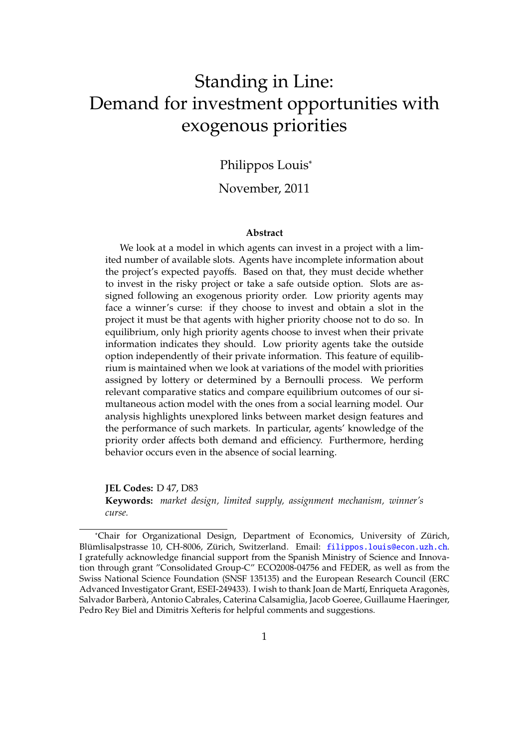# Standing in Line: Demand for investment opportunities with exogenous priorities

### Philippos Louis<sup>∗</sup>

#### November, 2011

#### **Abstract**

We look at a model in which agents can invest in a project with a limited number of available slots. Agents have incomplete information about the project's expected payoffs. Based on that, they must decide whether to invest in the risky project or take a safe outside option. Slots are assigned following an exogenous priority order. Low priority agents may face a winner's curse: if they choose to invest and obtain a slot in the project it must be that agents with higher priority choose not to do so. In equilibrium, only high priority agents choose to invest when their private information indicates they should. Low priority agents take the outside option independently of their private information. This feature of equilibrium is maintained when we look at variations of the model with priorities assigned by lottery or determined by a Bernoulli process. We perform relevant comparative statics and compare equilibrium outcomes of our simultaneous action model with the ones from a social learning model. Our analysis highlights unexplored links between market design features and the performance of such markets. In particular, agents' knowledge of the priority order affects both demand and efficiency. Furthermore, herding behavior occurs even in the absence of social learning.

**JEL Codes:** D 47, D83 **Keywords:** *market design, limited supply, assignment mechanism, winner's curse.*

<sup>∗</sup>Chair for Organizational Design, Department of Economics, University of Zurich, ¨ Blümlisalpstrasse 10, CH-8006, Zürich, Switzerland. Email: <filippos.louis@econ.uzh.ch>. I gratefully acknowledge financial support from the Spanish Ministry of Science and Innovation through grant "Consolidated Group-C" ECO2008-04756 and FEDER, as well as from the Swiss National Science Foundation (SNSF 135135) and the European Research Council (ERC Advanced Investigator Grant, ESEI-249433). I wish to thank Joan de Martí, Enriqueta Aragonès, Salvador Barbera, Antonio Cabrales, Caterina Calsamiglia, Jacob Goeree, Guillaume Haeringer, ` Pedro Rey Biel and Dimitris Xefteris for helpful comments and suggestions.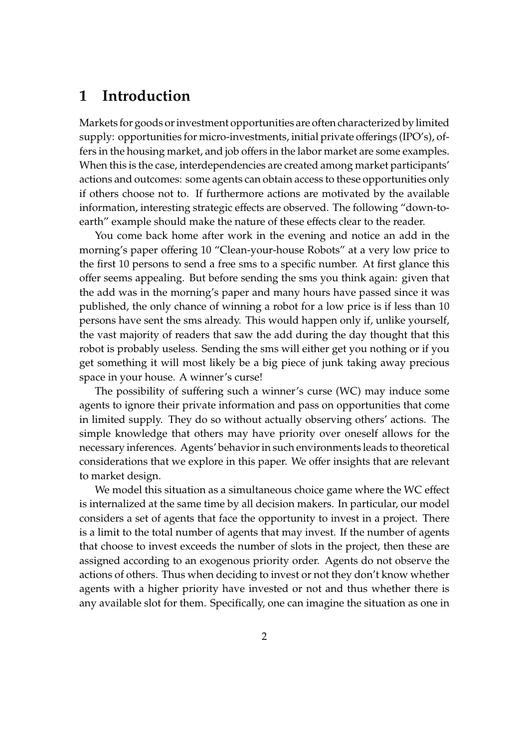## **1 Introduction**

Markets for goods or investment opportunities are often characterized by limited supply: opportunities for micro-investments, initial private offerings (IPO's), offers in the housing market, and job offers in the labor market are some examples. When this is the case, interdependencies are created among market participants' actions and outcomes: some agents can obtain access to these opportunities only if others choose not to. If furthermore actions are motivated by the available information, interesting strategic effects are observed. The following "down-toearth" example should make the nature of these effects clear to the reader.

You come back home after work in the evening and notice an add in the morning's paper offering 10 "Clean-your-house Robots" at a very low price to the first 10 persons to send a free sms to a specific number. At first glance this offer seems appealing. But before sending the sms you think again: given that the add was in the morning's paper and many hours have passed since it was published, the only chance of winning a robot for a low price is if less than 10 persons have sent the sms already. This would happen only if, unlike yourself, the vast majority of readers that saw the add during the day thought that this robot is probably useless. Sending the sms will either get you nothing or if you get something it will most likely be a big piece of junk taking away precious space in your house. A winner's curse!

The possibility of suffering such a winner's curse (WC) may induce some agents to ignore their private information and pass on opportunities that come in limited supply. They do so without actually observing others' actions. The simple knowledge that others may have priority over oneself allows for the necessary inferences. Agents' behavior in such environments leads to theoretical considerations that we explore in this paper. We offer insights that are relevant to market design.

We model this situation as a simultaneous choice game where the WC effect is internalized at the same time by all decision makers. In particular, our model considers a set of agents that face the opportunity to invest in a project. There is a limit to the total number of agents that may invest. If the number of agents that choose to invest exceeds the number of slots in the project, then these are assigned according to an exogenous priority order. Agents do not observe the actions of others. Thus when deciding to invest or not they don't know whether agents with a higher priority have invested or not and thus whether there is any available slot for them. Specifically, one can imagine the situation as one in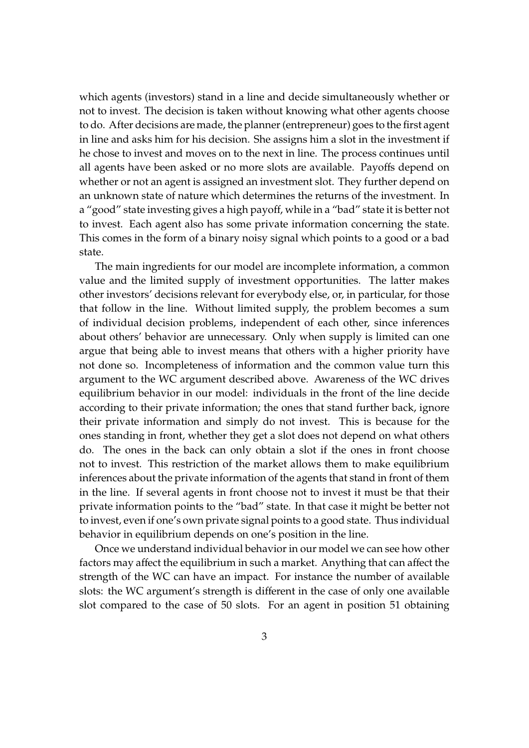which agents (investors) stand in a line and decide simultaneously whether or not to invest. The decision is taken without knowing what other agents choose to do. After decisions are made, the planner (entrepreneur) goes to the first agent in line and asks him for his decision. She assigns him a slot in the investment if he chose to invest and moves on to the next in line. The process continues until all agents have been asked or no more slots are available. Payoffs depend on whether or not an agent is assigned an investment slot. They further depend on an unknown state of nature which determines the returns of the investment. In a "good" state investing gives a high payoff, while in a "bad" state it is better not to invest. Each agent also has some private information concerning the state. This comes in the form of a binary noisy signal which points to a good or a bad state.

The main ingredients for our model are incomplete information, a common value and the limited supply of investment opportunities. The latter makes other investors' decisions relevant for everybody else, or, in particular, for those that follow in the line. Without limited supply, the problem becomes a sum of individual decision problems, independent of each other, since inferences about others' behavior are unnecessary. Only when supply is limited can one argue that being able to invest means that others with a higher priority have not done so. Incompleteness of information and the common value turn this argument to the WC argument described above. Awareness of the WC drives equilibrium behavior in our model: individuals in the front of the line decide according to their private information; the ones that stand further back, ignore their private information and simply do not invest. This is because for the ones standing in front, whether they get a slot does not depend on what others do. The ones in the back can only obtain a slot if the ones in front choose not to invest. This restriction of the market allows them to make equilibrium inferences about the private information of the agents that stand in front of them in the line. If several agents in front choose not to invest it must be that their private information points to the "bad" state. In that case it might be better not to invest, even if one's own private signal points to a good state. Thus individual behavior in equilibrium depends on one's position in the line.

Once we understand individual behavior in our model we can see how other factors may affect the equilibrium in such a market. Anything that can affect the strength of the WC can have an impact. For instance the number of available slots: the WC argument's strength is different in the case of only one available slot compared to the case of 50 slots. For an agent in position 51 obtaining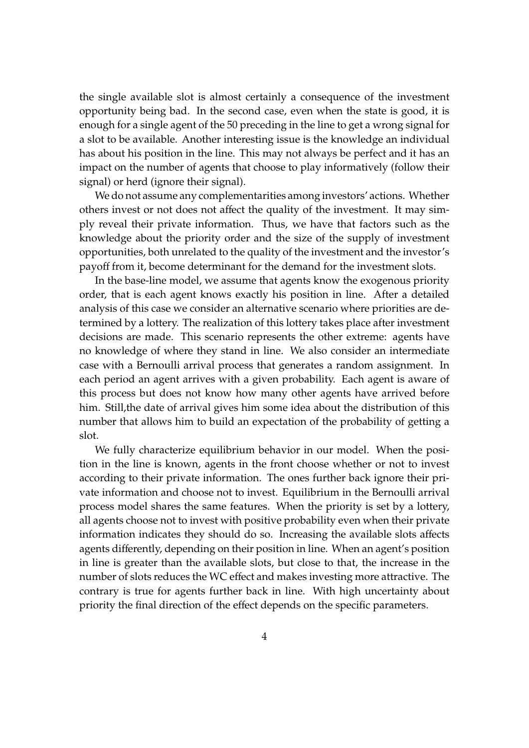the single available slot is almost certainly a consequence of the investment opportunity being bad. In the second case, even when the state is good, it is enough for a single agent of the 50 preceding in the line to get a wrong signal for a slot to be available. Another interesting issue is the knowledge an individual has about his position in the line. This may not always be perfect and it has an impact on the number of agents that choose to play informatively (follow their signal) or herd (ignore their signal).

We do not assume any complementarities among investors' actions. Whether others invest or not does not affect the quality of the investment. It may simply reveal their private information. Thus, we have that factors such as the knowledge about the priority order and the size of the supply of investment opportunities, both unrelated to the quality of the investment and the investor's payoff from it, become determinant for the demand for the investment slots.

In the base-line model, we assume that agents know the exogenous priority order, that is each agent knows exactly his position in line. After a detailed analysis of this case we consider an alternative scenario where priorities are determined by a lottery. The realization of this lottery takes place after investment decisions are made. This scenario represents the other extreme: agents have no knowledge of where they stand in line. We also consider an intermediate case with a Bernoulli arrival process that generates a random assignment. In each period an agent arrives with a given probability. Each agent is aware of this process but does not know how many other agents have arrived before him. Still,the date of arrival gives him some idea about the distribution of this number that allows him to build an expectation of the probability of getting a slot.

We fully characterize equilibrium behavior in our model. When the position in the line is known, agents in the front choose whether or not to invest according to their private information. The ones further back ignore their private information and choose not to invest. Equilibrium in the Bernoulli arrival process model shares the same features. When the priority is set by a lottery, all agents choose not to invest with positive probability even when their private information indicates they should do so. Increasing the available slots affects agents differently, depending on their position in line. When an agent's position in line is greater than the available slots, but close to that, the increase in the number of slots reduces the WC effect and makes investing more attractive. The contrary is true for agents further back in line. With high uncertainty about priority the final direction of the effect depends on the specific parameters.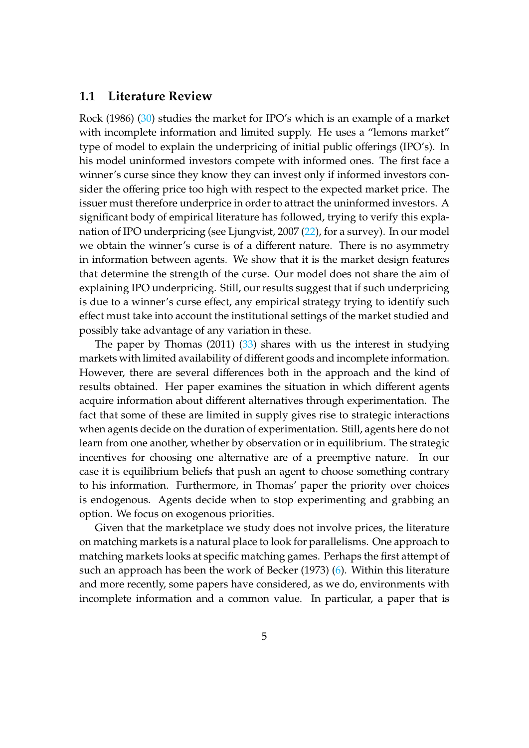#### **1.1 Literature Review**

Rock (1986) [\(30\)](#page-33-0) studies the market for IPO's which is an example of a market with incomplete information and limited supply. He uses a "lemons market" type of model to explain the underpricing of initial public offerings (IPO's). In his model uninformed investors compete with informed ones. The first face a winner's curse since they know they can invest only if informed investors consider the offering price too high with respect to the expected market price. The issuer must therefore underprice in order to attract the uninformed investors. A significant body of empirical literature has followed, trying to verify this explanation of IPO underpricing (see Ljungvist, 2007 [\(22\)](#page-33-1), for a survey). In our model we obtain the winner's curse is of a different nature. There is no asymmetry in information between agents. We show that it is the market design features that determine the strength of the curse. Our model does not share the aim of explaining IPO underpricing. Still, our results suggest that if such underpricing is due to a winner's curse effect, any empirical strategy trying to identify such effect must take into account the institutional settings of the market studied and possibly take advantage of any variation in these.

The paper by Thomas  $(2011)$   $(33)$  shares with us the interest in studying markets with limited availability of different goods and incomplete information. However, there are several differences both in the approach and the kind of results obtained. Her paper examines the situation in which different agents acquire information about different alternatives through experimentation. The fact that some of these are limited in supply gives rise to strategic interactions when agents decide on the duration of experimentation. Still, agents here do not learn from one another, whether by observation or in equilibrium. The strategic incentives for choosing one alternative are of a preemptive nature. In our case it is equilibrium beliefs that push an agent to choose something contrary to his information. Furthermore, in Thomas' paper the priority over choices is endogenous. Agents decide when to stop experimenting and grabbing an option. We focus on exogenous priorities.

Given that the marketplace we study does not involve prices, the literature on matching markets is a natural place to look for parallelisms. One approach to matching markets looks at specific matching games. Perhaps the first attempt of such an approach has been the work of Becker (1973) [\(6\)](#page-32-0). Within this literature and more recently, some papers have considered, as we do, environments with incomplete information and a common value. In particular, a paper that is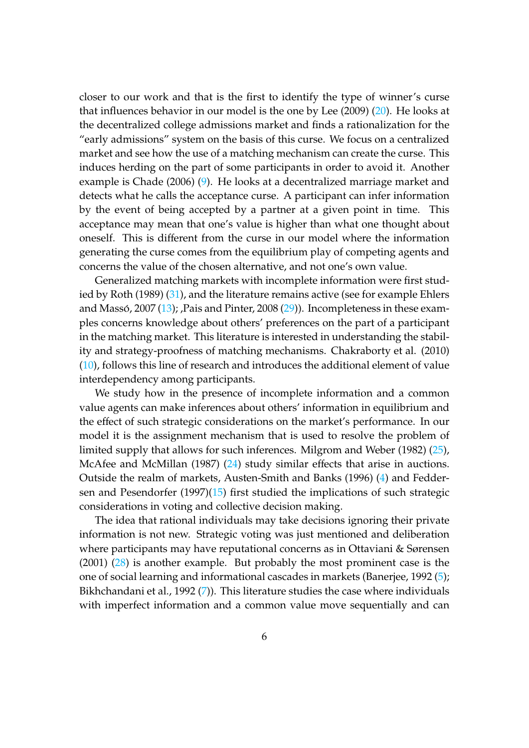closer to our work and that is the first to identify the type of winner's curse that influences behavior in our model is the one by Lee (2009) [\(20\)](#page-33-3). He looks at the decentralized college admissions market and finds a rationalization for the "early admissions" system on the basis of this curse. We focus on a centralized market and see how the use of a matching mechanism can create the curse. This induces herding on the part of some participants in order to avoid it. Another example is Chade (2006) [\(9\)](#page-32-1). He looks at a decentralized marriage market and detects what he calls the acceptance curse. A participant can infer information by the event of being accepted by a partner at a given point in time. This acceptance may mean that one's value is higher than what one thought about oneself. This is different from the curse in our model where the information generating the curse comes from the equilibrium play of competing agents and concerns the value of the chosen alternative, and not one's own value.

Generalized matching markets with incomplete information were first studied by Roth (1989) [\(31\)](#page-33-4), and the literature remains active (see for example Ehlers and Massó, 2007  $(13)$  $(13)$ ; ,Pais and Pinter, 2008  $(29)$ ). Incompleteness in these examples concerns knowledge about others' preferences on the part of a participant in the matching market. This literature is interested in understanding the stability and strategy-proofness of matching mechanisms. Chakraborty et al. (2010) [\(10\)](#page-32-3), follows this line of research and introduces the additional element of value interdependency among participants.

We study how in the presence of incomplete information and a common value agents can make inferences about others' information in equilibrium and the effect of such strategic considerations on the market's performance. In our model it is the assignment mechanism that is used to resolve the problem of limited supply that allows for such inferences. Milgrom and Weber (1982) [\(25\)](#page-33-6), McAfee and McMillan (1987) [\(24\)](#page-33-7) study similar effects that arise in auctions. Outside the realm of markets, Austen-Smith and Banks (1996) [\(4\)](#page-31-0) and Feddersen and Pesendorfer (1997)[\(15\)](#page-32-4) first studied the implications of such strategic considerations in voting and collective decision making.

The idea that rational individuals may take decisions ignoring their private information is not new. Strategic voting was just mentioned and deliberation where participants may have reputational concerns as in Ottaviani & Sørensen (2001) [\(28\)](#page-33-8) is another example. But probably the most prominent case is the one of social learning and informational cascades in markets (Banerjee, 1992 [\(5\)](#page-31-1); Bikhchandani et al., 1992  $(7)$ ). This literature studies the case where individuals with imperfect information and a common value move sequentially and can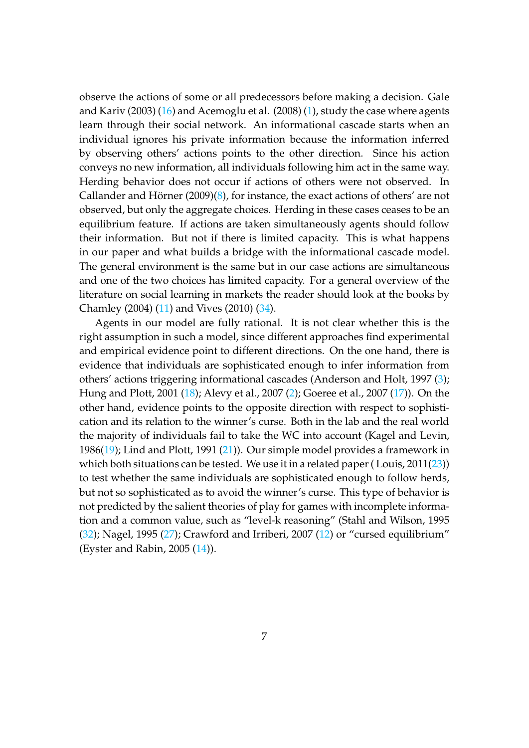observe the actions of some or all predecessors before making a decision. Gale and Kariv (2003) [\(16\)](#page-32-6) and Acemoglu et al. (2008) [\(1\)](#page-31-2), study the case where agents learn through their social network. An informational cascade starts when an individual ignores his private information because the information inferred by observing others' actions points to the other direction. Since his action conveys no new information, all individuals following him act in the same way. Herding behavior does not occur if actions of others were not observed. In Callander and Hörner (2009)( $\frac{8}{8}$ ), for instance, the exact actions of others' are not observed, but only the aggregate choices. Herding in these cases ceases to be an equilibrium feature. If actions are taken simultaneously agents should follow their information. But not if there is limited capacity. This is what happens in our paper and what builds a bridge with the informational cascade model. The general environment is the same but in our case actions are simultaneous and one of the two choices has limited capacity. For a general overview of the literature on social learning in markets the reader should look at the books by Chamley (2004) [\(11\)](#page-32-8) and Vives (2010) [\(34\)](#page-33-9).

Agents in our model are fully rational. It is not clear whether this is the right assumption in such a model, since different approaches find experimental and empirical evidence point to different directions. On the one hand, there is evidence that individuals are sophisticated enough to infer information from others' actions triggering informational cascades (Anderson and Holt, 1997 [\(3\)](#page-31-3); Hung and Plott, 2001 [\(18\)](#page-32-9); Alevy et al., 2007 [\(2\)](#page-31-4); Goeree et al., 2007 [\(17\)](#page-32-10)). On the other hand, evidence points to the opposite direction with respect to sophistication and its relation to the winner's curse. Both in the lab and the real world the majority of individuals fail to take the WC into account (Kagel and Levin, 1986[\(19\)](#page-32-11); Lind and Plott, 1991 [\(21\)](#page-33-10)). Our simple model provides a framework in which both situations can be tested. We use it in a related paper (Louis,  $2011(23)$  $2011(23)$ ) to test whether the same individuals are sophisticated enough to follow herds, but not so sophisticated as to avoid the winner's curse. This type of behavior is not predicted by the salient theories of play for games with incomplete information and a common value, such as "level-k reasoning" (Stahl and Wilson, 1995 [\(32\)](#page-33-12); Nagel, 1995 [\(27\)](#page-33-13); Crawford and Irriberi, 2007 [\(12\)](#page-32-12) or "cursed equilibrium" (Eyster and Rabin, 2005 [\(14\)](#page-32-13)).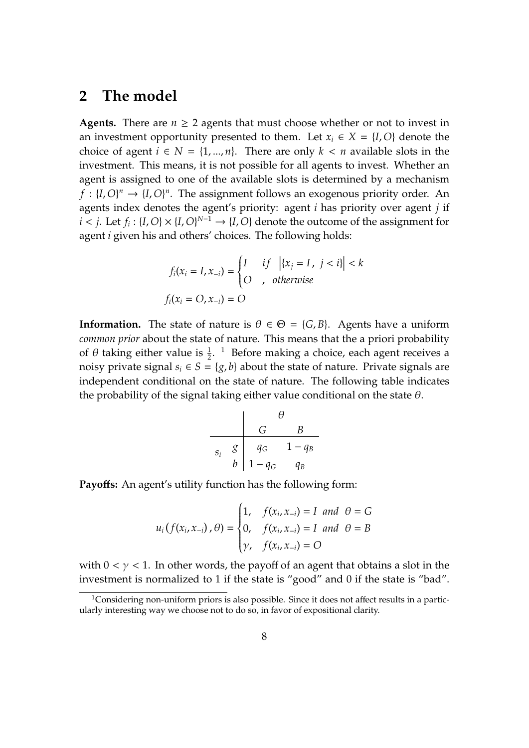## **2 The model**

**Agents.** There are  $n \geq 2$  agents that must choose whether or not to invest in an investment opportunity presented to them. Let  $x_i \in X = \{I, O\}$  denote the choice of agent  $i \in N = \{1, ..., n\}$ . There are only  $k < n$  available slots in the investment. This means, it is not possible for all agents to invest. Whether an agent is assigned to one of the available slots is determined by a mechanism  $f: {I, O}^n \rightarrow {I, O}^n$ . The assignment follows an exogenous priority order. An agents index denotes the agent's priority: agent *i* has priority over agent *j* if  $i < j$ . Let  $f_i : \{I, O\} \times \{I, O\}^{N-1} \rightarrow \{I, O\}$  denote the outcome of the assignment for agent *i* given his and others' choices. The following holds:

$$
f_i(x_i = I, x_{-i}) = \begin{cases} I & \text{if } |(x_j = I, j < i)| < k \\ O & \text{otherwise} \end{cases}
$$
\n
$$
f_i(x_i = O, x_{-i}) = O
$$

**Information.** The state of nature is  $\theta \in \Theta = \{G, B\}$ . Agents have a uniform *common prior* about the state of nature. This means that the a priori probability of  $\theta$  taking either value is  $\frac{1}{2}$  $\frac{1}{2}$  $\frac{1}{2}$ . <sup>1</sup> Before making a choice, each agent receives a noisy private signal  $s_i \in S = \{g, b\}$  about the state of nature. Private signals are independent conditional on the state of nature. The following table indicates the probability of the signal taking either value conditional on the state  $\theta$ .

$$
\begin{array}{c|c}\n & \theta \\
\hline\n & G & B \\
\hline\ns_i & g & q_G & 1 - q_B \\
b & 1 - q_G & q_B\n\end{array}
$$

**Payo**ff**s:** An agent's utility function has the following form:

$$
u_i(f(x_i, x_{-i}), \theta) = \begin{cases} 1, & f(x_i, x_{-i}) = I \text{ and } \theta = G \\ 0, & f(x_i, x_{-i}) = I \text{ and } \theta = B \\ \gamma, & f(x_i, x_{-i}) = O \end{cases}
$$

with  $0 < \gamma < 1$ . In other words, the payoff of an agent that obtains a slot in the investment is normalized to 1 if the state is "good" and 0 if the state is "bad".

<span id="page-7-0"></span><sup>&</sup>lt;sup>1</sup>Considering non-uniform priors is also possible. Since it does not affect results in a particularly interesting way we choose not to do so, in favor of expositional clarity.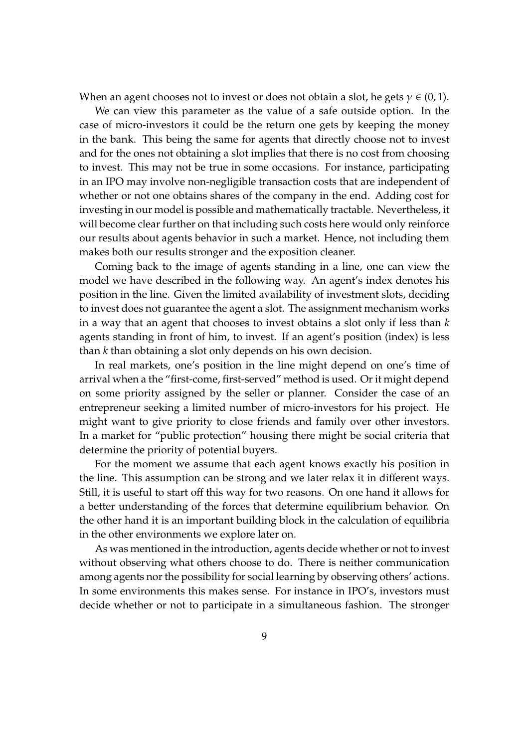When an agent chooses not to invest or does not obtain a slot, he gets  $\gamma \in (0,1)$ .

We can view this parameter as the value of a safe outside option. In the case of micro-investors it could be the return one gets by keeping the money in the bank. This being the same for agents that directly choose not to invest and for the ones not obtaining a slot implies that there is no cost from choosing to invest. This may not be true in some occasions. For instance, participating in an IPO may involve non-negligible transaction costs that are independent of whether or not one obtains shares of the company in the end. Adding cost for investing in our model is possible and mathematically tractable. Nevertheless, it will become clear further on that including such costs here would only reinforce our results about agents behavior in such a market. Hence, not including them makes both our results stronger and the exposition cleaner.

Coming back to the image of agents standing in a line, one can view the model we have described in the following way. An agent's index denotes his position in the line. Given the limited availability of investment slots, deciding to invest does not guarantee the agent a slot. The assignment mechanism works in a way that an agent that chooses to invest obtains a slot only if less than *k* agents standing in front of him, to invest. If an agent's position (index) is less than *k* than obtaining a slot only depends on his own decision.

In real markets, one's position in the line might depend on one's time of arrival when a the "first-come, first-served" method is used. Or it might depend on some priority assigned by the seller or planner. Consider the case of an entrepreneur seeking a limited number of micro-investors for his project. He might want to give priority to close friends and family over other investors. In a market for "public protection" housing there might be social criteria that determine the priority of potential buyers.

For the moment we assume that each agent knows exactly his position in the line. This assumption can be strong and we later relax it in different ways. Still, it is useful to start off this way for two reasons. On one hand it allows for a better understanding of the forces that determine equilibrium behavior. On the other hand it is an important building block in the calculation of equilibria in the other environments we explore later on.

As was mentioned in the introduction, agents decide whether or not to invest without observing what others choose to do. There is neither communication among agents nor the possibility for social learning by observing others' actions. In some environments this makes sense. For instance in IPO's, investors must decide whether or not to participate in a simultaneous fashion. The stronger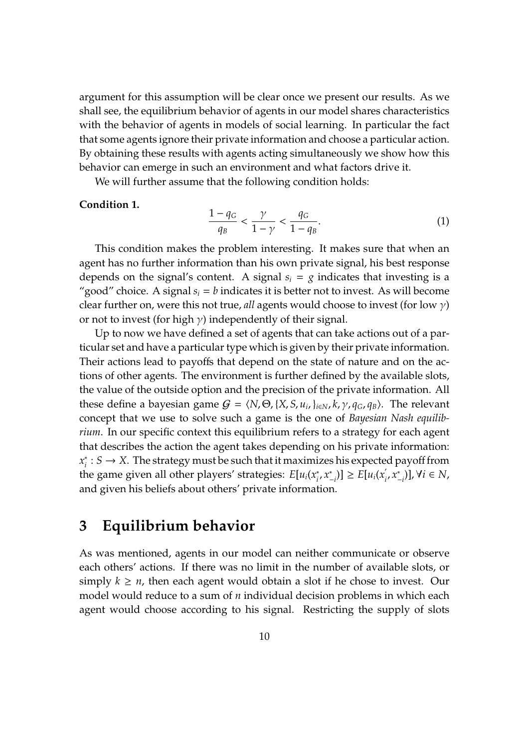argument for this assumption will be clear once we present our results. As we shall see, the equilibrium behavior of agents in our model shares characteristics with the behavior of agents in models of social learning. In particular the fact that some agents ignore their private information and choose a particular action. By obtaining these results with agents acting simultaneously we show how this behavior can emerge in such an environment and what factors drive it.

We will further assume that the following condition holds:

#### **Condition 1.**

<span id="page-9-0"></span>
$$
\frac{1-q_G}{q_B} < \frac{\gamma}{1-\gamma} < \frac{q_G}{1-q_B}.\tag{1}
$$

This condition makes the problem interesting. It makes sure that when an agent has no further information than his own private signal, his best response depends on the signal's content. A signal  $s_i = g$  indicates that investing is a "good" choice. A signal  $s_i = b$  indicates it is better not to invest. As will become clear further on, were this not true, *all* agents would choose to invest (for low γ) or not to invest (for high  $\gamma$ ) independently of their signal.

Up to now we have defined a set of agents that can take actions out of a particular set and have a particular type which is given by their private information. Their actions lead to payoffs that depend on the state of nature and on the actions of other agents. The environment is further defined by the available slots, the value of the outside option and the precision of the private information. All these define a bayesian game  $G = \langle N, \Theta, \{X, S, u_i, \}_{i \in N}, k, \gamma, q_G, q_B \rangle$ . The relevant concept that we use to solve such a game is the one of *Bayesian Nash equilibrium*. In our specific context this equilibrium refers to a strategy for each agent that describes the action the agent takes depending on his private information: *x* ∗  $i : S \to X$ . The strategy must be such that it maximizes his expected payoff from the game given all other players' strategies: *E*[*ui*(*x* ∗ *i* , *x* ∗  $\binom{x^*}{-i}$ ] ≥  $E[u_i(x)]$ *i* , *x* ∗ −*i* )], ∀*i* ∈ *N*, and given his beliefs about others' private information.

## **3 Equilibrium behavior**

As was mentioned, agents in our model can neither communicate or observe each others' actions. If there was no limit in the number of available slots, or simply  $k \geq n$ , then each agent would obtain a slot if he chose to invest. Our model would reduce to a sum of *n* individual decision problems in which each agent would choose according to his signal. Restricting the supply of slots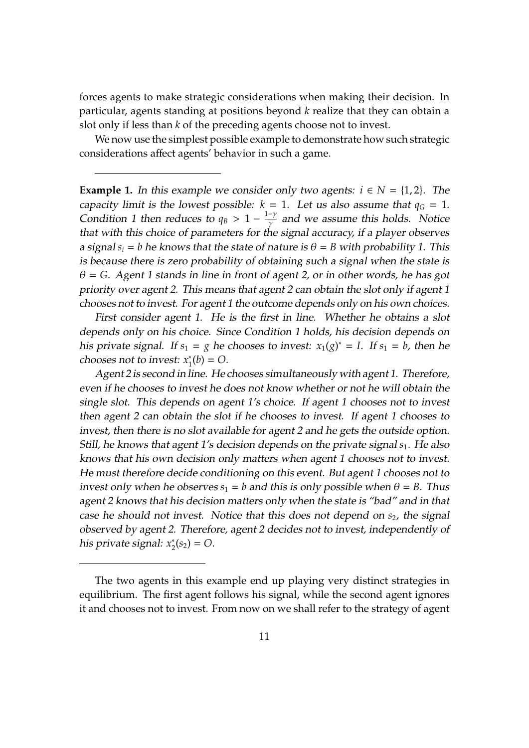forces agents to make strategic considerations when making their decision. In particular, agents standing at positions beyond *k* realize that they can obtain a slot only if less than *k* of the preceding agents choose not to invest.

We now use the simplest possible example to demonstrate how such strategic considerations affect agents' behavior in such a game.

**Example 1.** In this example we consider only two agents:  $i \in N = \{1, 2\}$ . The capacity limit is the lowest possible:  $k = 1$ . Let us also assume that  $q_G = 1$ . Condition [1](#page-9-0) then reduces to  $q_B > 1 - \frac{1-\gamma}{\gamma}$  $\frac{-\gamma}{\gamma}$  and we assume this holds. Notice that with this choice of parameters for the signal accuracy, if a player observes a signal  $s_i = b$  he knows that the state of nature is  $\theta = B$  with probability 1. This is because there is zero probability of obtaining such a signal when the state is  $\theta = G$ . Agent 1 stands in line in front of agent 2, or in other words, he has got priority over agent 2. This means that agent 2 can obtain the slot only if agent 1 chooses not to invest. For agent 1 the outcome depends only on his own choices.

First consider agent 1. He is the first in line. Whether he obtains a slot depends only on his choice. Since Condition [1](#page-9-0) holds, his decision depends on his private signal. If  $s_1 = g$  he chooses to invest:  $x_1(g)^* = I$ . If  $s_1 = b$ , then he chooses not to invest: *x* ∗  $i_1^*(b) = O.$ 

Agent 2 is second in line. He chooses simultaneously with agent 1. Therefore, even if he chooses to invest he does not know whether or not he will obtain the single slot. This depends on agent 1's choice. If agent 1 chooses not to invest then agent 2 can obtain the slot if he chooses to invest. If agent 1 chooses to invest, then there is no slot available for agent 2 and he gets the outside option. Still, he knows that agent 1's decision depends on the private signal *s*1. He also knows that his own decision only matters when agent 1 chooses not to invest. He must therefore decide conditioning on this event. But agent 1 chooses not to invest only when he observes  $s_1 = b$  and this is only possible when  $\theta = B$ . Thus agent 2 knows that his decision matters only when the state is "bad" and in that case he should not invest. Notice that this does not depend on  $s<sub>2</sub>$ , the signal observed by agent 2. Therefore, agent 2 decides not to invest, independently of his private signal: *x* ∗  $i_2^*(s_2) = O.$ 

The two agents in this example end up playing very distinct strategies in equilibrium. The first agent follows his signal, while the second agent ignores it and chooses not to invest. From now on we shall refer to the strategy of agent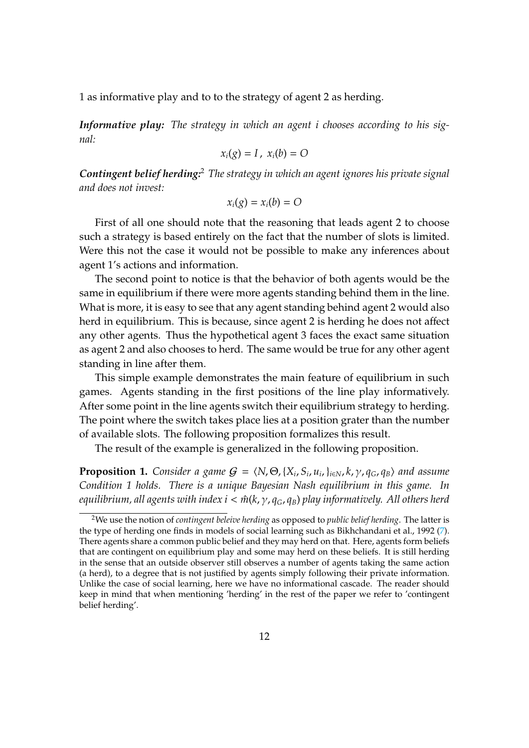1 as informative play and to to the strategy of agent 2 as herding.

*Informative play: The strategy in which an agent i chooses according to his signal:*

$$
x_i(g) = I, x_i(b) = O
$$

*Contingent belief herding:*[2](#page-11-0) *The strategy in which an agent ignores his private signal and does not invest:*

$$
x_i(g) = x_i(b) = O
$$

First of all one should note that the reasoning that leads agent 2 to choose such a strategy is based entirely on the fact that the number of slots is limited. Were this not the case it would not be possible to make any inferences about agent 1's actions and information.

The second point to notice is that the behavior of both agents would be the same in equilibrium if there were more agents standing behind them in the line. What is more, it is easy to see that any agent standing behind agent 2 would also herd in equilibrium. This is because, since agent 2 is herding he does not affect any other agents. Thus the hypothetical agent 3 faces the exact same situation as agent 2 and also chooses to herd. The same would be true for any other agent standing in line after them.

This simple example demonstrates the main feature of equilibrium in such games. Agents standing in the first positions of the line play informatively. After some point in the line agents switch their equilibrium strategy to herding. The point where the switch takes place lies at a position grater than the number of available slots. The following proposition formalizes this result.

The result of the example is generalized in the following proposition.

**Proposition 1.** *Consider a game*  $G = \langle N, \Theta, \{X_i, S_i, u_i, \}_{i \in N}, k, \gamma, q_G, q_B \rangle$  and assume *Condition [1](#page-9-0) holds. There is a unique Bayesian Nash equilibrium in this game. In equilibrium, all agents with index i* <  $\hat{m}(k, \gamma, q_G, q_B)$  *play informatively. All others herd* 

<span id="page-11-0"></span><sup>2</sup>We use the notion of *contingent beleive herding* as opposed to *public belief herding*. The latter is the type of herding one finds in models of social learning such as Bikhchandani et al., 1992 [\(7\)](#page-32-5). There agents share a common public belief and they may herd on that. Here, agents form beliefs that are contingent on equilibrium play and some may herd on these beliefs. It is still herding in the sense that an outside observer still observes a number of agents taking the same action (a herd), to a degree that is not justified by agents simply following their private information. Unlike the case of social learning, here we have no informational cascade. The reader should keep in mind that when mentioning 'herding' in the rest of the paper we refer to 'contingent belief herding'.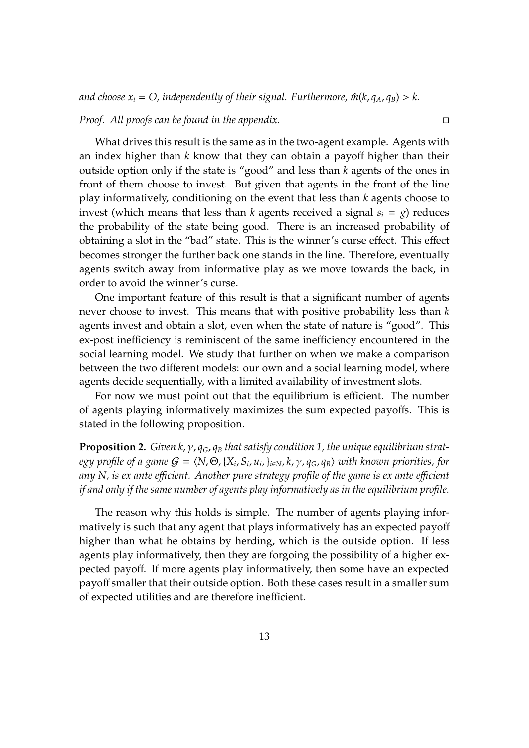*and choose*  $x_i = O$ , *independently of their signal. Furthermore,*  $\hat{m}(k, q_A, q_B) > k$ *.* 

#### *Proof. All proofs can be found in the appendix.*

What drives this result is the same as in the two-agent example. Agents with an index higher than *k* know that they can obtain a payoff higher than their outside option only if the state is "good" and less than *k* agents of the ones in front of them choose to invest. But given that agents in the front of the line play informatively, conditioning on the event that less than *k* agents choose to invest (which means that less than *k* agents received a signal  $s_i = g$ ) reduces the probability of the state being good. There is an increased probability of obtaining a slot in the "bad" state. This is the winner's curse effect. This effect becomes stronger the further back one stands in the line. Therefore, eventually agents switch away from informative play as we move towards the back, in order to avoid the winner's curse.

One important feature of this result is that a significant number of agents never choose to invest. This means that with positive probability less than *k* agents invest and obtain a slot, even when the state of nature is "good". This ex-post inefficiency is reminiscent of the same inefficiency encountered in the social learning model. We study that further on when we make a comparison between the two different models: our own and a social learning model, where agents decide sequentially, with a limited availability of investment slots.

For now we must point out that the equilibrium is efficient. The number of agents playing informatively maximizes the sum expected payoffs. This is stated in the following proposition.

<span id="page-12-0"></span>**Proposition 2.** *Given k*, γ, *qG*, *q<sup>B</sup> that satisfy condition [1,](#page-9-0) the unique equilibrium strat* $e$ gy profile of a game  $G = \langle N, \Theta, \{X_i, S_i, u_i, \}_{i \in N}, k, \gamma, q_G, q_B \rangle$  with known priorities, for *any N, is ex ante e*ffi*cient. Another pure strategy profile of the game is ex ante e*ffi*cient if and only if the same number of agents play informatively as in the equilibrium profile.*

The reason why this holds is simple. The number of agents playing informatively is such that any agent that plays informatively has an expected payoff higher than what he obtains by herding, which is the outside option. If less agents play informatively, then they are forgoing the possibility of a higher expected payoff. If more agents play informatively, then some have an expected payoff smaller that their outside option. Both these cases result in a smaller sum of expected utilities and are therefore inefficient.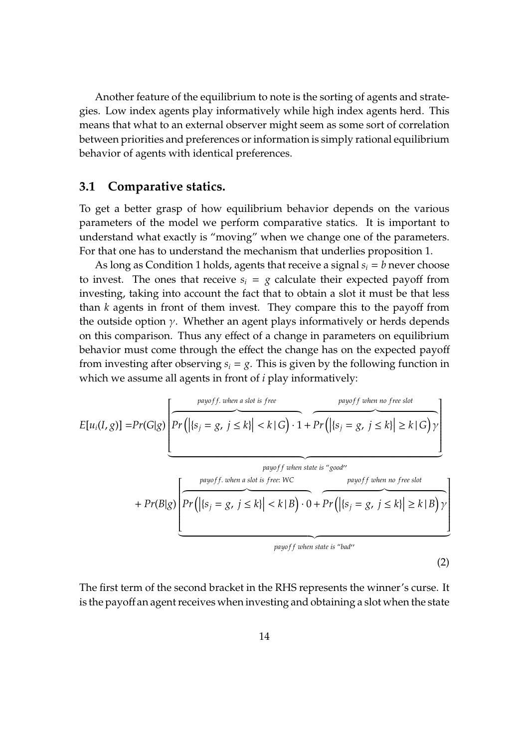Another feature of the equilibrium to note is the sorting of agents and strategies. Low index agents play informatively while high index agents herd. This means that what to an external observer might seem as some sort of correlation between priorities and preferences or information is simply rational equilibrium behavior of agents with identical preferences.

### **3.1 Comparative statics.**

To get a better grasp of how equilibrium behavior depends on the various parameters of the model we perform comparative statics. It is important to understand what exactly is "moving" when we change one of the parameters. For that one has to understand the mechanism that underlies proposition 1.

As long as Condition [1](#page-9-0) holds, agents that receive a signal  $s_i = b$  never choose to invest. The ones that receive  $s_i = g$  calculate their expected payoff from investing, taking into account the fact that to obtain a slot it must be that less than *k* agents in front of them invest. They compare this to the payoff from the outside option  $\gamma$ . Whether an agent plays informatively or herds depends on this comparison. Thus any effect of a change in parameters on equilibrium behavior must come through the effect the change has on the expected payoff from investing after observing  $s_i = g$ . This is given by the following function in which we assume all agents in front of *i* play informatively:

$$
E[u_i(I, g)] = Pr(G|g) \left[ \frac{payoff \text{ when a slot is free}}{Pr(|[s_j = g, j \le k]| < k | G) \cdot 1} + Pr(|[s_j = g, j \le k]| \ge k | G) \gamma \right]
$$

\n
$$
\text{payoff when state is "good" } \left\{ \text{payoff. when a slot is free: WC} \mid \text{payoff when no free slot} \right\}
$$
\n

\n\n $\text{Pr}(B|g) \left[ \text{Pr}\left( | \{s_j = g, j \le k\} | < k | B \right) \cdot 0 + \text{Pr}\left( | \{s_j = g, j \le k\} | \ge k | B \right) \gamma \right]$ \n

\n\n $\text{payoff when state is "bad" } \left\{ \text{payoff when state is "bad"} \right\}$ \n

(2)

The first term of the second bracket in the RHS represents the winner's curse. It is the payoff an agent receives when investing and obtaining a slot when the state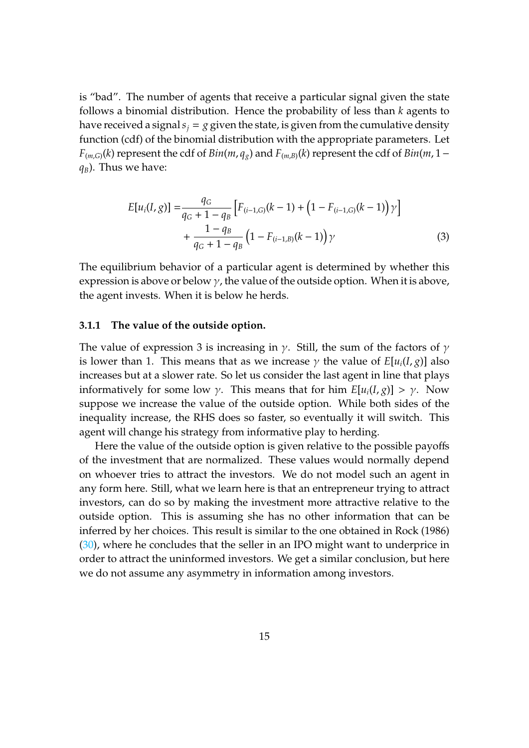is "bad". The number of agents that receive a particular signal given the state follows a binomial distribution. Hence the probability of less than *k* agents to have received a signal  $s_j = g$  given the state, is given from the cumulative density function (cdf) of the binomial distribution with the appropriate parameters. Let *F*<sub>(*m*,*G*)</sub>(*k*) represent the cdf of *Bin*(*m*, *q*<sub>*g*</sub>) and *F*<sub>(*m*,*B*)</sub>(*k*) represent the cdf of *Bin*(*m*, 1− *qB*). Thus we have:

<span id="page-14-0"></span>
$$
E[u_i(I, g)] = \frac{q_G}{q_G + 1 - q_B} \left[ F_{(i-1,G)}(k-1) + \left( 1 - F_{(i-1,G)}(k-1) \right) \gamma \right] + \frac{1 - q_B}{q_G + 1 - q_B} \left( 1 - F_{(i-1,B)}(k-1) \right) \gamma \tag{3}
$$

The equilibrium behavior of a particular agent is determined by whether this expression is above or below  $\gamma$ , the value of the outside option. When it is above, the agent invests. When it is below he herds.

#### **3.1.1 The value of the outside option.**

The value of expression [3](#page-14-0) is increasing in  $\gamma$ . Still, the sum of the factors of  $\gamma$ is lower than 1. This means that as we increase  $\gamma$  the value of  $E[u_i(I, g)]$  also increases but at a slower rate. So let us consider the last agent in line that plays informatively for some low  $\gamma$ . This means that for him  $E[u_i(I,g)] > \gamma$ . Now suppose we increase the value of the outside option. While both sides of the inequality increase, the RHS does so faster, so eventually it will switch. This agent will change his strategy from informative play to herding.

Here the value of the outside option is given relative to the possible payoffs of the investment that are normalized. These values would normally depend on whoever tries to attract the investors. We do not model such an agent in any form here. Still, what we learn here is that an entrepreneur trying to attract investors, can do so by making the investment more attractive relative to the outside option. This is assuming she has no other information that can be inferred by her choices. This result is similar to the one obtained in Rock (1986) [\(30\)](#page-33-0), where he concludes that the seller in an IPO might want to underprice in order to attract the uninformed investors. We get a similar conclusion, but here we do not assume any asymmetry in information among investors.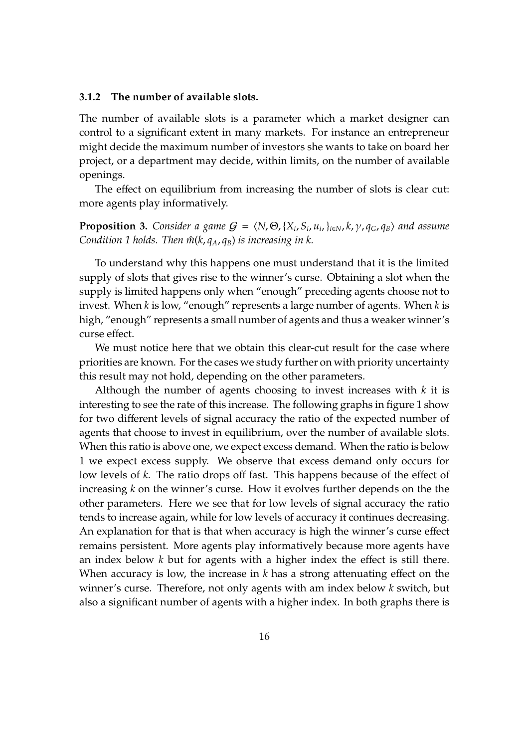#### **3.1.2 The number of available slots.**

The number of available slots is a parameter which a market designer can control to a significant extent in many markets. For instance an entrepreneur might decide the maximum number of investors she wants to take on board her project, or a department may decide, within limits, on the number of available openings.

The effect on equilibrium from increasing the number of slots is clear cut: more agents play informatively.

**Proposition 3.** Consider a game  $G = \langle N, \Theta, \{X_i, S_i, u_i, \}_{i \in N}, k, \gamma, q_G, q_B \rangle$  and assume *Condition* [1](#page-9-0) *holds.* Then  $\hat{m}(k, q_A, q_B)$  *is increasing in k.* 

To understand why this happens one must understand that it is the limited supply of slots that gives rise to the winner's curse. Obtaining a slot when the supply is limited happens only when "enough" preceding agents choose not to invest. When *k* is low, "enough" represents a large number of agents. When *k* is high, "enough" represents a small number of agents and thus a weaker winner's curse effect.

We must notice here that we obtain this clear-cut result for the case where priorities are known. For the cases we study further on with priority uncertainty this result may not hold, depending on the other parameters.

Although the number of agents choosing to invest increases with *k* it is interesting to see the rate of this increase. The following graphs in figure [1](#page-16-0) show for two different levels of signal accuracy the ratio of the expected number of agents that choose to invest in equilibrium, over the number of available slots. When this ratio is above one, we expect excess demand. When the ratio is below 1 we expect excess supply. We observe that excess demand only occurs for low levels of *k*. The ratio drops off fast. This happens because of the effect of increasing *k* on the winner's curse. How it evolves further depends on the the other parameters. Here we see that for low levels of signal accuracy the ratio tends to increase again, while for low levels of accuracy it continues decreasing. An explanation for that is that when accuracy is high the winner's curse effect remains persistent. More agents play informatively because more agents have an index below *k* but for agents with a higher index the effect is still there. When accuracy is low, the increase in *k* has a strong attenuating effect on the winner's curse. Therefore, not only agents with am index below *k* switch, but also a significant number of agents with a higher index. In both graphs there is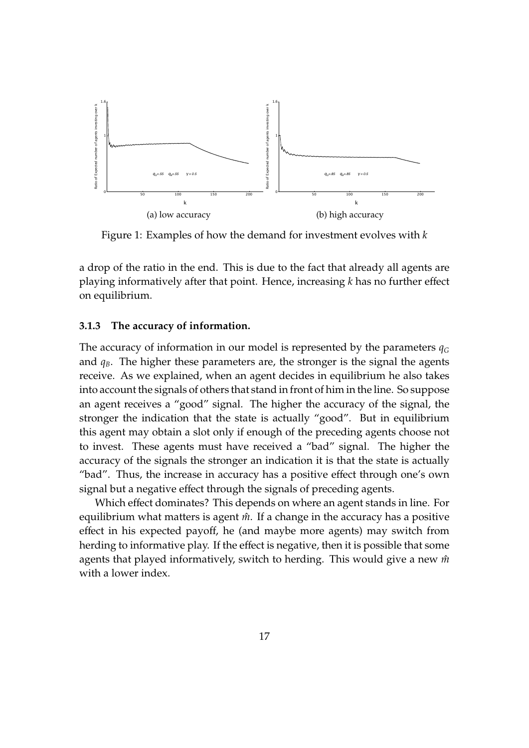<span id="page-16-0"></span>

Figure 1: Examples of how the demand for investment evolves with *k*

a drop of the ratio in the end. This is due to the fact that already all agents are playing informatively after that point. Hence, increasing *k* has no further effect on equilibrium.

#### **3.1.3 The accuracy of information.**

The accuracy of information in our model is represented by the parameters  $q_G$ and  $q_B$ . The higher these parameters are, the stronger is the signal the agents receive. As we explained, when an agent decides in equilibrium he also takes into account the signals of others that stand in front of him in the line. So suppose an agent receives a "good" signal. The higher the accuracy of the signal, the stronger the indication that the state is actually "good". But in equilibrium this agent may obtain a slot only if enough of the preceding agents choose not to invest. These agents must have received a "bad" signal. The higher the accuracy of the signals the stronger an indication it is that the state is actually "bad". Thus, the increase in accuracy has a positive effect through one's own signal but a negative effect through the signals of preceding agents.

Which effect dominates? This depends on where an agent stands in line. For equilibrium what matters is agent  $\hat{m}$ . If a change in the accuracy has a positive effect in his expected payoff, he (and maybe more agents) may switch from herding to informative play. If the effect is negative, then it is possible that some agents that played informatively, switch to herding. This would give a new  $m$ <sup></sup> with a lower index.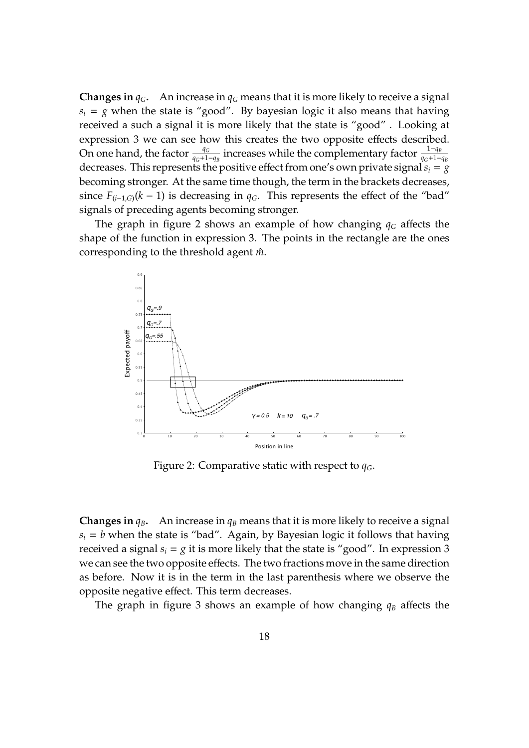**Changes in**  $q_G$ . An increase in  $q_G$  means that it is more likely to receive a signal  $s_i = g$  when the state is "good". By bayesian logic it also means that having received a such a signal it is more likely that the state is "good" . Looking at expression [3](#page-14-0) we can see how this creates the two opposite effects described. On one hand, the factor  $\frac{q_G}{q_G+1-q_B}$  increases while the complementary factor  $\frac{1-q_B}{q_G+1-q_B}$ decreases. This represents the positive effect from one's own private signal*s<sup>i</sup>* = *g* becoming stronger. At the same time though, the term in the brackets decreases, since  $F$ <sub>(*i*−1,*G*)( $k$  − 1) is decreasing in  $q$ <sup>*G*</sup>. This represents the effect of the "bad"</sub> signals of preceding agents becoming stronger.

The graph in figure [2](#page-17-0) shows an example of how changing  $q<sub>G</sub>$  affects the shape of the function in expression [3.](#page-14-0) The points in the rectangle are the ones corresponding to the threshold agent  $\hat{m}$ .

<span id="page-17-0"></span>

Figure 2: Comparative static with respect to *qG*.

**Changes in**  $q_B$ . An increase in  $q_B$  means that it is more likely to receive a signal  $s_i = b$  when the state is "bad". Again, by Bayesian logic it follows that having received a signal  $s_i = g$  it is more likely that the state is "good". In expression [3](#page-14-0) we can see the two opposite effects. The two fractions move in the same direction as before. Now it is in the term in the last parenthesis where we observe the opposite negative effect. This term decreases.

The graph in figure [3](#page-18-0) shows an example of how changing  $q_B$  affects the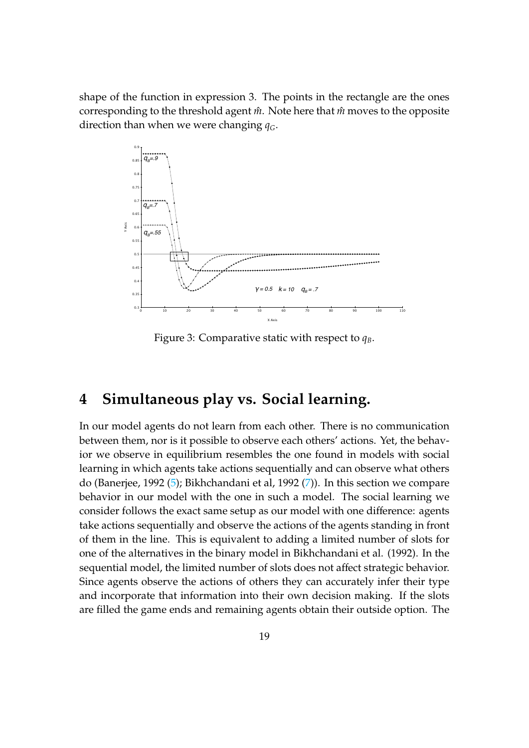shape of the function in expression [3.](#page-14-0) The points in the rectangle are the ones corresponding to the threshold agent  $\hat{m}$ . Note here that  $\hat{m}$  moves to the opposite direction than when we were changing *qG*.

<span id="page-18-0"></span>

Figure 3: Comparative static with respect to *qB*.

## **4 Simultaneous play vs. Social learning.**

In our model agents do not learn from each other. There is no communication between them, nor is it possible to observe each others' actions. Yet, the behavior we observe in equilibrium resembles the one found in models with social learning in which agents take actions sequentially and can observe what others do (Banerjee, 1992 [\(5\)](#page-31-1); Bikhchandani et al, 1992 [\(7\)](#page-32-5)). In this section we compare behavior in our model with the one in such a model. The social learning we consider follows the exact same setup as our model with one difference: agents take actions sequentially and observe the actions of the agents standing in front of them in the line. This is equivalent to adding a limited number of slots for one of the alternatives in the binary model in Bikhchandani et al. (1992). In the sequential model, the limited number of slots does not affect strategic behavior. Since agents observe the actions of others they can accurately infer their type and incorporate that information into their own decision making. If the slots are filled the game ends and remaining agents obtain their outside option. The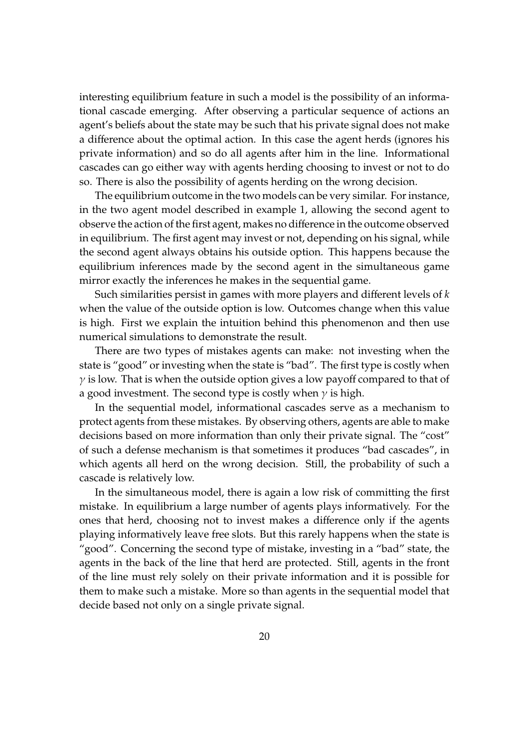interesting equilibrium feature in such a model is the possibility of an informational cascade emerging. After observing a particular sequence of actions an agent's beliefs about the state may be such that his private signal does not make a difference about the optimal action. In this case the agent herds (ignores his private information) and so do all agents after him in the line. Informational cascades can go either way with agents herding choosing to invest or not to do so. There is also the possibility of agents herding on the wrong decision.

The equilibrium outcome in the two models can be very similar. For instance, in the two agent model described in example 1, allowing the second agent to observe the action of the first agent, makes no difference in the outcome observed in equilibrium. The first agent may invest or not, depending on his signal, while the second agent always obtains his outside option. This happens because the equilibrium inferences made by the second agent in the simultaneous game mirror exactly the inferences he makes in the sequential game.

Such similarities persist in games with more players and different levels of *k* when the value of the outside option is low. Outcomes change when this value is high. First we explain the intuition behind this phenomenon and then use numerical simulations to demonstrate the result.

There are two types of mistakes agents can make: not investing when the state is "good" or investing when the state is "bad". The first type is costly when  $\gamma$  is low. That is when the outside option gives a low payoff compared to that of a good investment. The second type is costly when  $\gamma$  is high.

In the sequential model, informational cascades serve as a mechanism to protect agents from these mistakes. By observing others, agents are able to make decisions based on more information than only their private signal. The "cost" of such a defense mechanism is that sometimes it produces "bad cascades", in which agents all herd on the wrong decision. Still, the probability of such a cascade is relatively low.

In the simultaneous model, there is again a low risk of committing the first mistake. In equilibrium a large number of agents plays informatively. For the ones that herd, choosing not to invest makes a difference only if the agents playing informatively leave free slots. But this rarely happens when the state is "good". Concerning the second type of mistake, investing in a "bad" state, the agents in the back of the line that herd are protected. Still, agents in the front of the line must rely solely on their private information and it is possible for them to make such a mistake. More so than agents in the sequential model that decide based not only on a single private signal.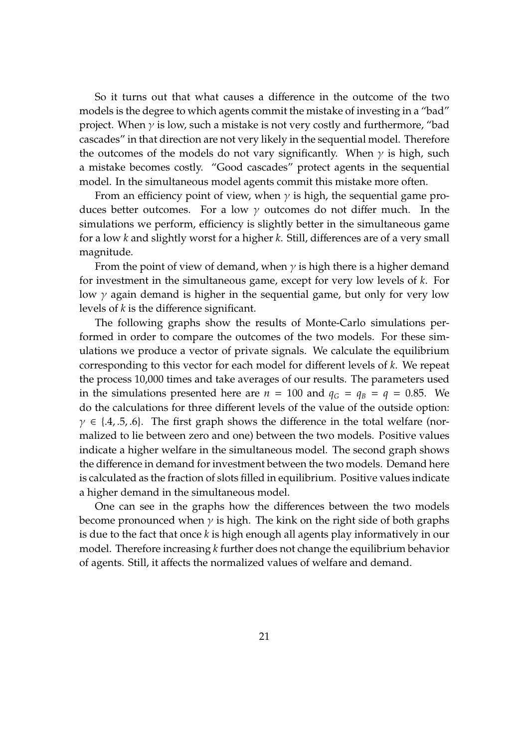So it turns out that what causes a difference in the outcome of the two models is the degree to which agents commit the mistake of investing in a "bad" project. When  $\gamma$  is low, such a mistake is not very costly and furthermore, "bad cascades" in that direction are not very likely in the sequential model. Therefore the outcomes of the models do not vary significantly. When  $\gamma$  is high, such a mistake becomes costly. "Good cascades" protect agents in the sequential model. In the simultaneous model agents commit this mistake more often.

From an efficiency point of view, when  $\gamma$  is high, the sequential game produces better outcomes. For a low  $\gamma$  outcomes do not differ much. In the simulations we perform, efficiency is slightly better in the simultaneous game for a low *k* and slightly worst for a higher *k*. Still, differences are of a very small magnitude.

From the point of view of demand, when  $\gamma$  is high there is a higher demand for investment in the simultaneous game, except for very low levels of *k*. For low  $\gamma$  again demand is higher in the sequential game, but only for very low levels of *k* is the difference significant.

The following graphs show the results of Monte-Carlo simulations performed in order to compare the outcomes of the two models. For these simulations we produce a vector of private signals. We calculate the equilibrium corresponding to this vector for each model for different levels of *k*. We repeat the process 10,000 times and take averages of our results. The parameters used in the simulations presented here are  $n = 100$  and  $q_G = q_B = q = 0.85$ . We do the calculations for three different levels of the value of the outside option:  $\gamma \in \{.4, .5, .6\}$ . The first graph shows the difference in the total welfare (normalized to lie between zero and one) between the two models. Positive values indicate a higher welfare in the simultaneous model. The second graph shows the difference in demand for investment between the two models. Demand here is calculated as the fraction of slots filled in equilibrium. Positive values indicate a higher demand in the simultaneous model.

One can see in the graphs how the differences between the two models become pronounced when  $\gamma$  is high. The kink on the right side of both graphs is due to the fact that once *k* is high enough all agents play informatively in our model. Therefore increasing *k* further does not change the equilibrium behavior of agents. Still, it affects the normalized values of welfare and demand.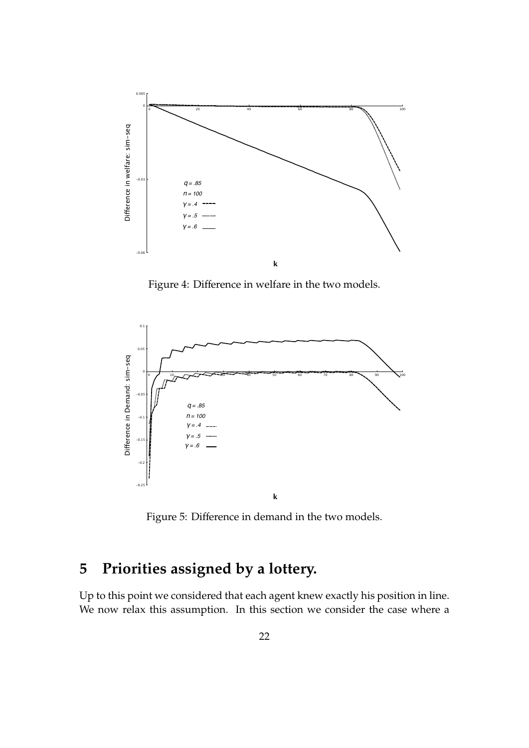

Figure 4: Difference in welfare in the two models.



Figure 5: Difference in demand in the two models.

## **5 Priorities assigned by a lottery.**

Up to this point we considered that each agent knew exactly his position in line. We now relax this assumption. In this section we consider the case where a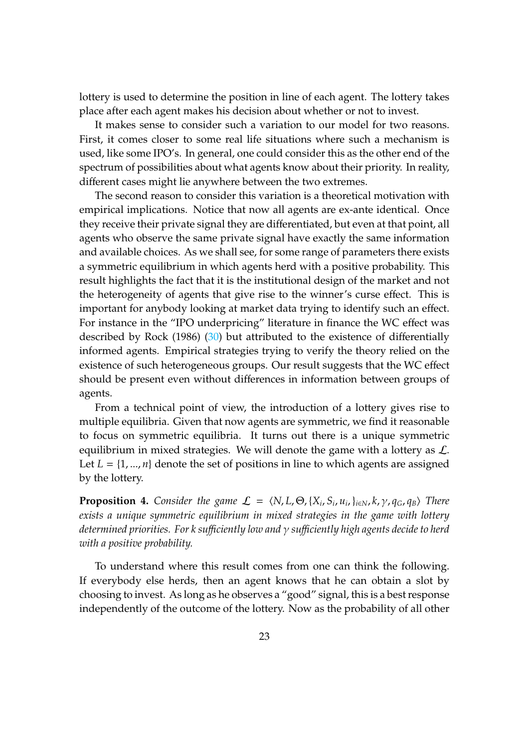lottery is used to determine the position in line of each agent. The lottery takes place after each agent makes his decision about whether or not to invest.

It makes sense to consider such a variation to our model for two reasons. First, it comes closer to some real life situations where such a mechanism is used, like some IPO's. In general, one could consider this as the other end of the spectrum of possibilities about what agents know about their priority. In reality, different cases might lie anywhere between the two extremes.

The second reason to consider this variation is a theoretical motivation with empirical implications. Notice that now all agents are ex-ante identical. Once they receive their private signal they are differentiated, but even at that point, all agents who observe the same private signal have exactly the same information and available choices. As we shall see, for some range of parameters there exists a symmetric equilibrium in which agents herd with a positive probability. This result highlights the fact that it is the institutional design of the market and not the heterogeneity of agents that give rise to the winner's curse effect. This is important for anybody looking at market data trying to identify such an effect. For instance in the "IPO underpricing" literature in finance the WC effect was described by Rock (1986) [\(30\)](#page-33-0) but attributed to the existence of differentially informed agents. Empirical strategies trying to verify the theory relied on the existence of such heterogeneous groups. Our result suggests that the WC effect should be present even without differences in information between groups of agents.

From a technical point of view, the introduction of a lottery gives rise to multiple equilibria. Given that now agents are symmetric, we find it reasonable to focus on symmetric equilibria. It turns out there is a unique symmetric equilibrium in mixed strategies. We will denote the game with a lottery as  $\mathcal{L}$ . Let  $L = \{1, ..., n\}$  denote the set of positions in line to which agents are assigned by the lottery.

**Proposition 4.** Consider the game  $\mathcal{L} = \langle N, L, \Theta, \{X_i, S_i, u_i, \}_{i \in N}, k, \gamma, q_G, q_B \rangle$  There *exists a unique symmetric equilibrium in mixed strategies in the game with lottery determined priorities. For k su*ffi*ciently low and* γ *su*ffi*ciently high agents decide to herd with a positive probability.*

To understand where this result comes from one can think the following. If everybody else herds, then an agent knows that he can obtain a slot by choosing to invest. As long as he observes a "good" signal, this is a best response independently of the outcome of the lottery. Now as the probability of all other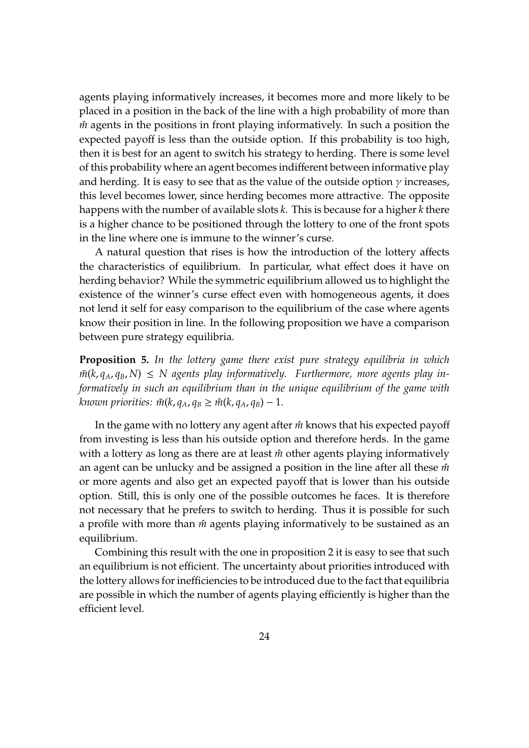agents playing informatively increases, it becomes more and more likely to be placed in a position in the back of the line with a high probability of more than *m*<sup> $n$ </sup> agents in the positions in front playing informatively. In such a position the expected payoff is less than the outside option. If this probability is too high, then it is best for an agent to switch his strategy to herding. There is some level of this probability where an agent becomes indifferent between informative play and herding. It is easy to see that as the value of the outside option  $\gamma$  increases, this level becomes lower, since herding becomes more attractive. The opposite happens with the number of available slots *k*. This is because for a higher *k* there is a higher chance to be positioned through the lottery to one of the front spots in the line where one is immune to the winner's curse.

A natural question that rises is how the introduction of the lottery affects the characteristics of equilibrium. In particular, what effect does it have on herding behavior? While the symmetric equilibrium allowed us to highlight the existence of the winner's curse effect even with homogeneous agents, it does not lend it self for easy comparison to the equilibrium of the case where agents know their position in line. In the following proposition we have a comparison between pure strategy equilibria.

**Proposition 5.** *In the lottery game there exist pure strategy equilibria in which*  $\tilde{m}(k, q_A, q_B, N) \leq N$  agents play informatively. Furthermore, more agents play in*formatively in such an equilibrium than in the unique equilibrium of the game with known priorities:*  $\tilde{m}(k, q_A, q_B \geq \hat{m}(k, q_A, q_B) - 1$ .

In the game with no lottery any agent after  $\hat{m}$  knows that his expected payoff from investing is less than his outside option and therefore herds. In the game with a lottery as long as there are at least  $\hat{m}$  other agents playing informatively an agent can be unlucky and be assigned a position in the line after all these  $\hat{m}$ or more agents and also get an expected payoff that is lower than his outside option. Still, this is only one of the possible outcomes he faces. It is therefore not necessary that he prefers to switch to herding. Thus it is possible for such a profile with more than *m*ˆ agents playing informatively to be sustained as an equilibrium.

Combining this result with the one in proposition [2](#page-12-0) it is easy to see that such an equilibrium is not efficient. The uncertainty about priorities introduced with the lottery allows for inefficiencies to be introduced due to the fact that equilibria are possible in which the number of agents playing efficiently is higher than the efficient level.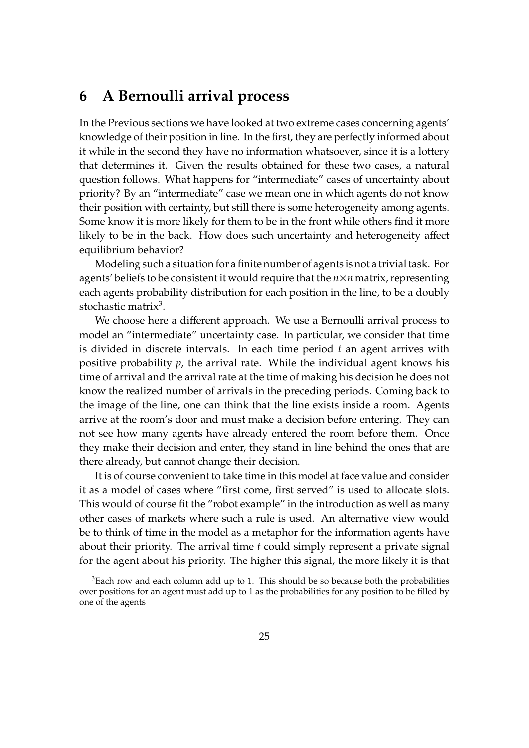## **6 A Bernoulli arrival process**

In the Previous sections we have looked at two extreme cases concerning agents' knowledge of their position in line. In the first, they are perfectly informed about it while in the second they have no information whatsoever, since it is a lottery that determines it. Given the results obtained for these two cases, a natural question follows. What happens for "intermediate" cases of uncertainty about priority? By an "intermediate" case we mean one in which agents do not know their position with certainty, but still there is some heterogeneity among agents. Some know it is more likely for them to be in the front while others find it more likely to be in the back. How does such uncertainty and heterogeneity affect equilibrium behavior?

Modeling such a situation for a finite number of agents is not a trivial task. For agents' beliefs to be consistent it would require that the *n*×*n* matrix, representing each agents probability distribution for each position in the line, to be a doubly stochastic matrix<sup>[3](#page-24-0)</sup>.

We choose here a different approach. We use a Bernoulli arrival process to model an "intermediate" uncertainty case. In particular, we consider that time is divided in discrete intervals. In each time period *t* an agent arrives with positive probability *p*, the arrival rate. While the individual agent knows his time of arrival and the arrival rate at the time of making his decision he does not know the realized number of arrivals in the preceding periods. Coming back to the image of the line, one can think that the line exists inside a room. Agents arrive at the room's door and must make a decision before entering. They can not see how many agents have already entered the room before them. Once they make their decision and enter, they stand in line behind the ones that are there already, but cannot change their decision.

It is of course convenient to take time in this model at face value and consider it as a model of cases where "first come, first served" is used to allocate slots. This would of course fit the "robot example" in the introduction as well as many other cases of markets where such a rule is used. An alternative view would be to think of time in the model as a metaphor for the information agents have about their priority. The arrival time *t* could simply represent a private signal for the agent about his priority. The higher this signal, the more likely it is that

<span id="page-24-0"></span> $3$ Each row and each column add up to 1. This should be so because both the probabilities over positions for an agent must add up to 1 as the probabilities for any position to be filled by one of the agents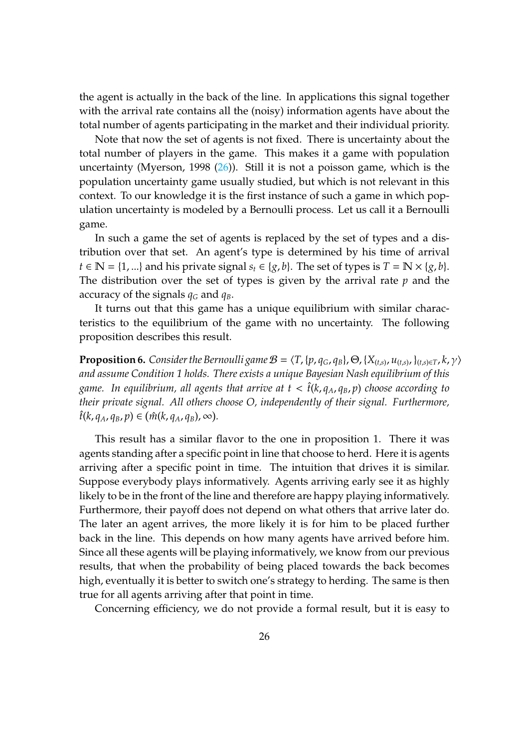the agent is actually in the back of the line. In applications this signal together with the arrival rate contains all the (noisy) information agents have about the total number of agents participating in the market and their individual priority.

Note that now the set of agents is not fixed. There is uncertainty about the total number of players in the game. This makes it a game with population uncertainty (Myerson, 1998  $(26)$ ). Still it is not a poisson game, which is the population uncertainty game usually studied, but which is not relevant in this context. To our knowledge it is the first instance of such a game in which population uncertainty is modeled by a Bernoulli process. Let us call it a Bernoulli game.

In such a game the set of agents is replaced by the set of types and a distribution over that set. An agent's type is determined by his time of arrival *t* ∈ **N** = {1, ...} and his private signal  $s_t$  ∈ {*g*, *b*}. The set of types is *T* = **N** × {*g*, *b*}. The distribution over the set of types is given by the arrival rate *p* and the accuracy of the signals  $q_G$  and  $q_B$ .

It turns out that this game has a unique equilibrium with similar characteristics to the equilibrium of the game with no uncertainty. The following proposition describes this result.

<span id="page-25-0"></span>**Proposition 6.** Consider the Bernoulli game  $B = \langle T, \{p, q_G, q_B\}, \Theta, \{X_{(t,s)}, u_{(t,s)}, \}_{(t,s) \in T}, k, \gamma \rangle$ *and assume Condition [1](#page-9-0) holds. There exists a unique Bayesian Nash equilibrium of this game. In equilibrium, all agents that arrive at*  $t < \hat{t}(k, q_A, q_B, p)$  *choose according to their private signal. All others choose O, independently of their signal. Furthermore,*  $\hat{t}(k, q_A, q_B, p) \in (\hat{m}(k, q_A, q_B), \infty).$ 

This result has a similar flavor to the one in proposition 1. There it was agents standing after a specific point in line that choose to herd. Here it is agents arriving after a specific point in time. The intuition that drives it is similar. Suppose everybody plays informatively. Agents arriving early see it as highly likely to be in the front of the line and therefore are happy playing informatively. Furthermore, their payoff does not depend on what others that arrive later do. The later an agent arrives, the more likely it is for him to be placed further back in the line. This depends on how many agents have arrived before him. Since all these agents will be playing informatively, we know from our previous results, that when the probability of being placed towards the back becomes high, eventually it is better to switch one's strategy to herding. The same is then true for all agents arriving after that point in time.

Concerning efficiency, we do not provide a formal result, but it is easy to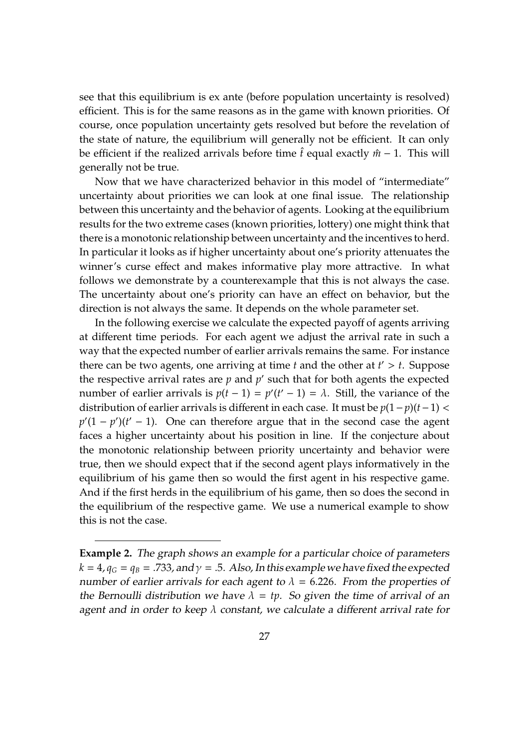see that this equilibrium is ex ante (before population uncertainty is resolved) efficient. This is for the same reasons as in the game with known priorities. Of course, once population uncertainty gets resolved but before the revelation of the state of nature, the equilibrium will generally not be efficient. It can only be efficient if the realized arrivals before time  $\hat{t}$  equal exactly  $\hat{m}$  − 1. This will generally not be true.

Now that we have characterized behavior in this model of "intermediate" uncertainty about priorities we can look at one final issue. The relationship between this uncertainty and the behavior of agents. Looking at the equilibrium results for the two extreme cases (known priorities, lottery) one might think that there is a monotonic relationship between uncertainty and the incentives to herd. In particular it looks as if higher uncertainty about one's priority attenuates the winner's curse effect and makes informative play more attractive. In what follows we demonstrate by a counterexample that this is not always the case. The uncertainty about one's priority can have an effect on behavior, but the direction is not always the same. It depends on the whole parameter set.

In the following exercise we calculate the expected payoff of agents arriving at different time periods. For each agent we adjust the arrival rate in such a way that the expected number of earlier arrivals remains the same. For instance there can be two agents, one arriving at time  $t$  and the other at  $t' > t$ . Suppose the respective arrival rates are  $p$  and  $p'$  such that for both agents the expected number of earlier arrivals is  $p(t-1) = p'(t'-1) = \lambda$ . Still, the variance of the distribution of earlier arrivals is different in each case. It must be  $p(1-p)(t-1)$  <  $p'(1 - p')(t' - 1)$ . One can therefore argue that in the second case the agent faces a higher uncertainty about his position in line. If the conjecture about the monotonic relationship between priority uncertainty and behavior were true, then we should expect that if the second agent plays informatively in the equilibrium of his game then so would the first agent in his respective game. And if the first herds in the equilibrium of his game, then so does the second in the equilibrium of the respective game. We use a numerical example to show this is not the case.

**Example 2.** The graph shows an example for a particular choice of parameters  $k = 4$ ,  $q<sub>G</sub> = q<sub>B</sub> = .733$ , and  $\gamma = .5$ . Also, In this example we have fixed the expected number of earlier arrivals for each agent to  $\lambda = 6.226$ . From the properties of the Bernoulli distribution we have  $\lambda = tp$ . So given the time of arrival of an agent and in order to keep  $\lambda$  constant, we calculate a different arrival rate for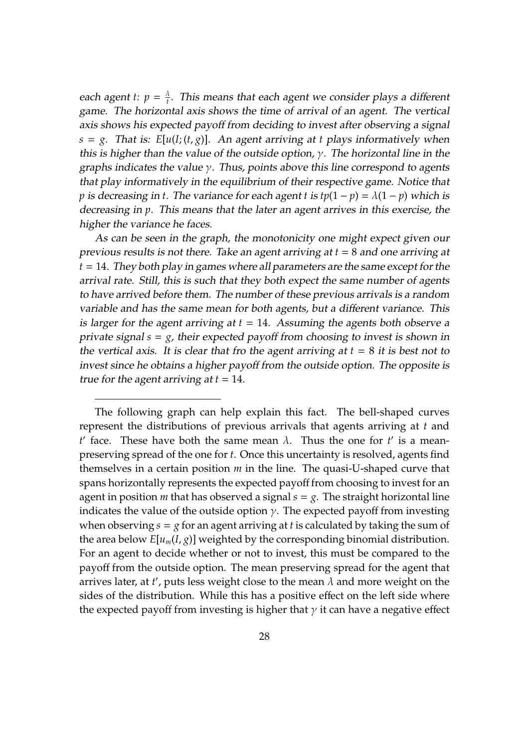each agent *t*:  $p = \frac{\lambda}{t}$  $\frac{\Delta}{t}$ . This means that each agent we consider plays a different game. The horizontal axis shows the time of arrival of an agent. The vertical axis shows his expected payoff from deciding to invest after observing a signal  $s = g$ . That is:  $E[u(I; (t, g)]$ . An agent arriving at *t* plays informatively when this is higher than the value of the outside option,  $\gamma$ . The horizontal line in the graphs indicates the value  $\gamma$ . Thus, points above this line correspond to agents that play informatively in the equilibrium of their respective game. Notice that *p* is decreasing in *t*. The variance for each agent *t* is  $tp(1-p) = \lambda(1-p)$  which is decreasing in *p*. This means that the later an agent arrives in this exercise, the higher the variance he faces.

As can be seen in the graph, the monotonicity one might expect given our previous results is not there. Take an agent arriving at *t* = 8 and one arriving at *t* = 14. They both play in games where all parameters are the same except for the arrival rate. Still, this is such that they both expect the same number of agents to have arrived before them. The number of these previous arrivals is a random variable and has the same mean for both agents, but a different variance. This is larger for the agent arriving at  $t = 14$ . Assuming the agents both observe a private signal *s* = *g*, their expected payoff from choosing to invest is shown in the vertical axis. It is clear that fro the agent arriving at  $t = 8$  it is best not to invest since he obtains a higher payoff from the outside option. The opposite is true for the agent arriving at  $t = 14$ .

The following graph can help explain this fact. The bell-shaped curves represent the distributions of previous arrivals that agents arriving at *t* and *t*' face. These have both the same mean  $\lambda$ . Thus the one for *t*' is a meanpreserving spread of the one for *t*. Once this uncertainty is resolved, agents find themselves in a certain position *m* in the line. The quasi-U-shaped curve that spans horizontally represents the expected payoff from choosing to invest for an agent in position *m* that has observed a signal  $s = g$ . The straight horizontal line indicates the value of the outside option  $\gamma$ . The expected payoff from investing when observing  $s = g$  for an agent arriving at *t* is calculated by taking the sum of the area below  $E[u_m(I, g)]$  weighted by the corresponding binomial distribution. For an agent to decide whether or not to invest, this must be compared to the payoff from the outside option. The mean preserving spread for the agent that arrives later, at *t'*, puts less weight close to the mean  $\lambda$  and more weight on the sides of the distribution. While this has a positive effect on the left side where the expected payoff from investing is higher that  $\gamma$  it can have a negative effect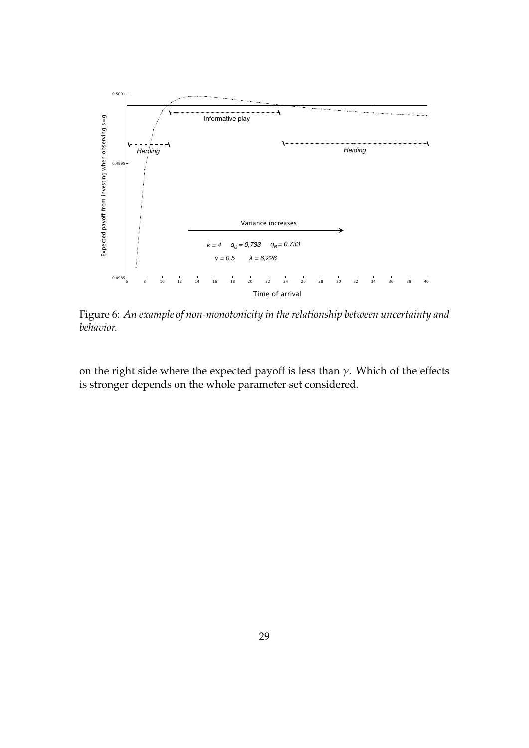

Figure 6: *An example of non-monotonicity in the relationship between uncertainty and behavior.*

on the right side where the expected payoff is less than  $\gamma$ . Which of the effects is stronger depends on the whole parameter set considered.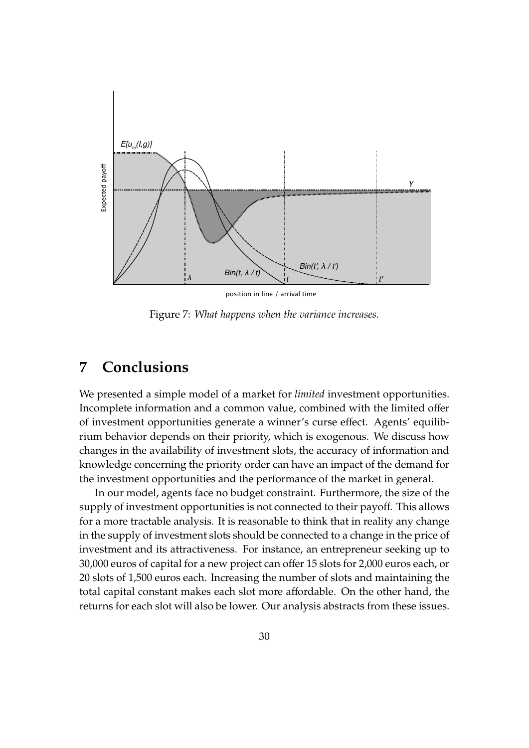

position in line / arrival time

Figure 7: *What happens when the variance increases.*

## **7 Conclusions**

We presented a simple model of a market for *limited* investment opportunities. Incomplete information and a common value, combined with the limited offer of investment opportunities generate a winner's curse effect. Agents' equilibrium behavior depends on their priority, which is exogenous. We discuss how changes in the availability of investment slots, the accuracy of information and knowledge concerning the priority order can have an impact of the demand for the investment opportunities and the performance of the market in general.

In our model, agents face no budget constraint. Furthermore, the size of the supply of investment opportunities is not connected to their payoff. This allows for a more tractable analysis. It is reasonable to think that in reality any change in the supply of investment slots should be connected to a change in the price of investment and its attractiveness. For instance, an entrepreneur seeking up to 30,000 euros of capital for a new project can offer 15 slots for 2,000 euros each, or 20 slots of 1,500 euros each. Increasing the number of slots and maintaining the total capital constant makes each slot more affordable. On the other hand, the returns for each slot will also be lower. Our analysis abstracts from these issues.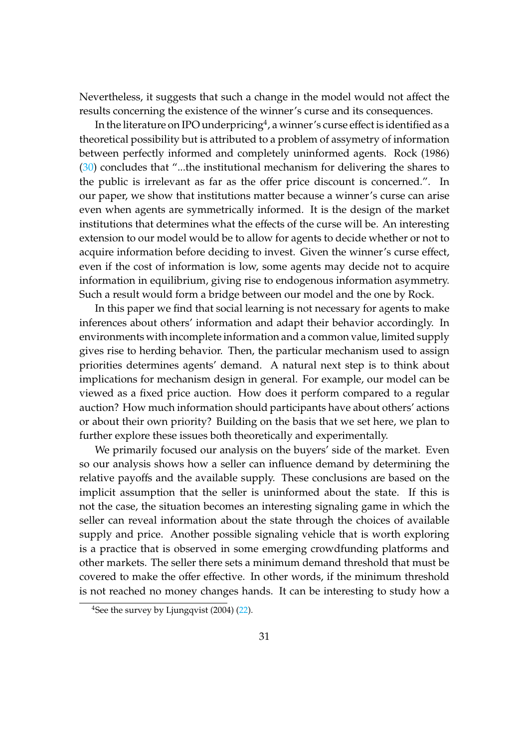Nevertheless, it suggests that such a change in the model would not affect the results concerning the existence of the winner's curse and its consequences.

In the literature on IPO underpricing $^4$  $^4$ , a winner's curse effect is identified as a theoretical possibility but is attributed to a problem of assymetry of information between perfectly informed and completely uninformed agents. Rock (1986) [\(30\)](#page-33-0) concludes that "...the institutional mechanism for delivering the shares to the public is irrelevant as far as the offer price discount is concerned.". In our paper, we show that institutions matter because a winner's curse can arise even when agents are symmetrically informed. It is the design of the market institutions that determines what the effects of the curse will be. An interesting extension to our model would be to allow for agents to decide whether or not to acquire information before deciding to invest. Given the winner's curse effect, even if the cost of information is low, some agents may decide not to acquire information in equilibrium, giving rise to endogenous information asymmetry. Such a result would form a bridge between our model and the one by Rock.

In this paper we find that social learning is not necessary for agents to make inferences about others' information and adapt their behavior accordingly. In environments with incomplete information and a common value, limited supply gives rise to herding behavior. Then, the particular mechanism used to assign priorities determines agents' demand. A natural next step is to think about implications for mechanism design in general. For example, our model can be viewed as a fixed price auction. How does it perform compared to a regular auction? How much information should participants have about others' actions or about their own priority? Building on the basis that we set here, we plan to further explore these issues both theoretically and experimentally.

We primarily focused our analysis on the buyers' side of the market. Even so our analysis shows how a seller can influence demand by determining the relative payoffs and the available supply. These conclusions are based on the implicit assumption that the seller is uninformed about the state. If this is not the case, the situation becomes an interesting signaling game in which the seller can reveal information about the state through the choices of available supply and price. Another possible signaling vehicle that is worth exploring is a practice that is observed in some emerging crowdfunding platforms and other markets. The seller there sets a minimum demand threshold that must be covered to make the offer effective. In other words, if the minimum threshold is not reached no money changes hands. It can be interesting to study how a

<span id="page-30-0"></span><sup>&</sup>lt;sup>4</sup>See the survey by Ljungqvist  $(2004)$   $(22)$ .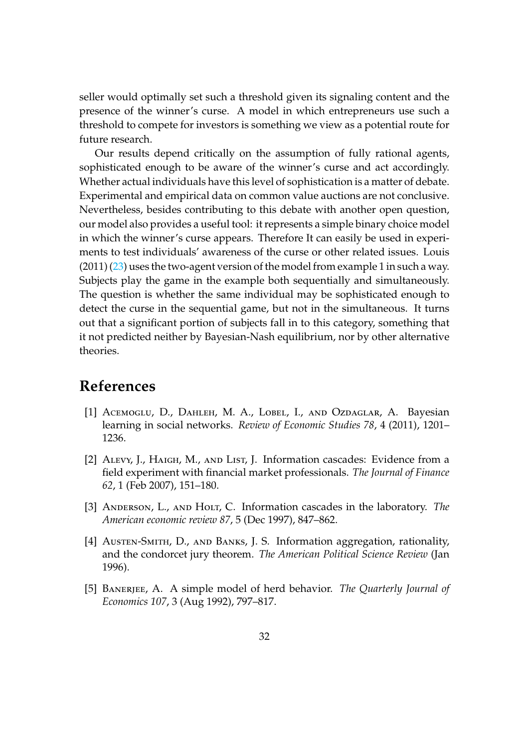seller would optimally set such a threshold given its signaling content and the presence of the winner's curse. A model in which entrepreneurs use such a threshold to compete for investors is something we view as a potential route for future research.

Our results depend critically on the assumption of fully rational agents, sophisticated enough to be aware of the winner's curse and act accordingly. Whether actual individuals have this level of sophistication is a matter of debate. Experimental and empirical data on common value auctions are not conclusive. Nevertheless, besides contributing to this debate with another open question, our model also provides a useful tool: it represents a simple binary choice model in which the winner's curse appears. Therefore It can easily be used in experiments to test individuals' awareness of the curse or other related issues. Louis  $(2011)(23)$  $(2011)(23)$  uses the two-agent version of the model from example 1 in such a way. Subjects play the game in the example both sequentially and simultaneously. The question is whether the same individual may be sophisticated enough to detect the curse in the sequential game, but not in the simultaneous. It turns out that a significant portion of subjects fall in to this category, something that it not predicted neither by Bayesian-Nash equilibrium, nor by other alternative theories.

## **References**

- <span id="page-31-2"></span>[1] ACEMOGLU, D., DAHLEH, M. A., LOBEL, I., AND OZDAGLAR, A. Bayesian learning in social networks. *Review of Economic Studies 78*, 4 (2011), 1201– 1236.
- <span id="page-31-4"></span>[2] ALEVY, J., HAIGH, M., AND LIST, J. Information cascades: Evidence from a field experiment with financial market professionals. *The Journal of Finance 62*, 1 (Feb 2007), 151–180.
- <span id="page-31-3"></span>[3] ANDERSON, L., AND HOLT, C. Information cascades in the laboratory. *The American economic review 87*, 5 (Dec 1997), 847–862.
- <span id="page-31-0"></span>[4] AUSTEN-SMITH, D., AND BANKS, J. S. Information aggregation, rationality, and the condorcet jury theorem. *The American Political Science Review* (Jan 1996).
- <span id="page-31-1"></span>[5] Banerjee, A. A simple model of herd behavior. *The Quarterly Journal of Economics 107*, 3 (Aug 1992), 797–817.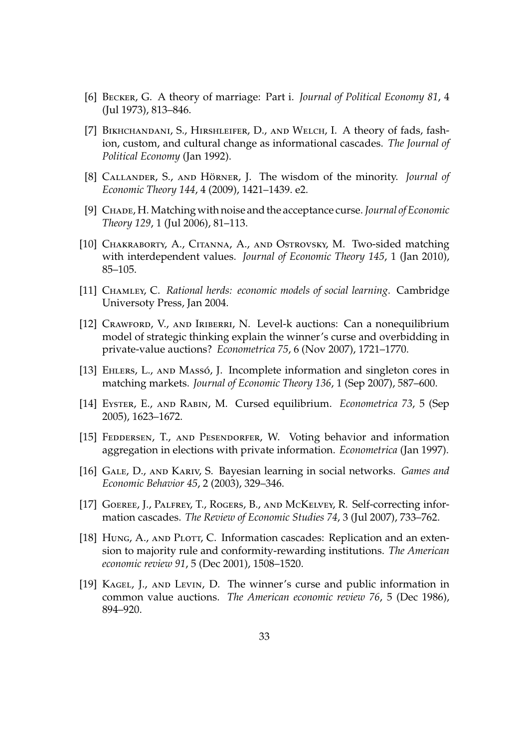- <span id="page-32-0"></span>[6] Becker, G. A theory of marriage: Part i. *Journal of Political Economy 81*, 4 (Jul 1973), 813–846.
- <span id="page-32-5"></span>[7] BIKHCHANDANI, S., HIRSHLEIFER, D., AND WELCH, I. A theory of fads, fashion, custom, and cultural change as informational cascades. *The Journal of Political Economy* (Jan 1992).
- <span id="page-32-7"></span>[8] CALLANDER, S., AND HÖRNER, J. The wisdom of the minority. *Journal of Economic Theory 144*, 4 (2009), 1421–1439. e2.
- <span id="page-32-1"></span>[9] Chade, H. Matching with noise and the acceptance curse. *Journal of Economic Theory 129*, 1 (Jul 2006), 81–113.
- <span id="page-32-3"></span>[10] CHAKRABORTY, A., CITANNA, A., AND OSTROVSKY, M. Two-sided matching with interdependent values. *Journal of Economic Theory 145*, 1 (Jan 2010), 85–105.
- <span id="page-32-8"></span>[11] Chamley, C. *Rational herds: economic models of social learning*. Cambridge Universoty Press, Jan 2004.
- <span id="page-32-12"></span>[12] CRAWFORD, V., AND IRIBERRI, N. Level-k auctions: Can a nonequilibrium model of strategic thinking explain the winner's curse and overbidding in private-value auctions? *Econometrica 75*, 6 (Nov 2007), 1721–1770.
- <span id="page-32-2"></span>[13] EHLERS, L., AND MASSÓ, J. Incomplete information and singleton cores in matching markets. *Journal of Economic Theory 136*, 1 (Sep 2007), 587–600.
- <span id="page-32-13"></span>[14] Eyster, E., and Rabin, M. Cursed equilibrium. *Econometrica 73*, 5 (Sep 2005), 1623–1672.
- <span id="page-32-4"></span>[15] FEDDERSEN, T., AND PESENDORFER, W. Voting behavior and information aggregation in elections with private information. *Econometrica* (Jan 1997).
- <span id="page-32-6"></span>[16] Gale, D., and Kariv, S. Bayesian learning in social networks. *Games and Economic Behavior 45*, 2 (2003), 329–346.
- <span id="page-32-10"></span>[17] GOEREE, J., PALFREY, T., ROGERS, B., AND MCKELVEY, R. Self-correcting information cascades. *The Review of Economic Studies 74*, 3 (Jul 2007), 733–762.
- <span id="page-32-9"></span>[18] Hung, A., AND PLOTT, C. Information cascades: Replication and an extension to majority rule and conformity-rewarding institutions. *The American economic review 91*, 5 (Dec 2001), 1508–1520.
- <span id="page-32-11"></span>[19] KAGEL, J., AND LEVIN, D. The winner's curse and public information in common value auctions. *The American economic review 76*, 5 (Dec 1986), 894–920.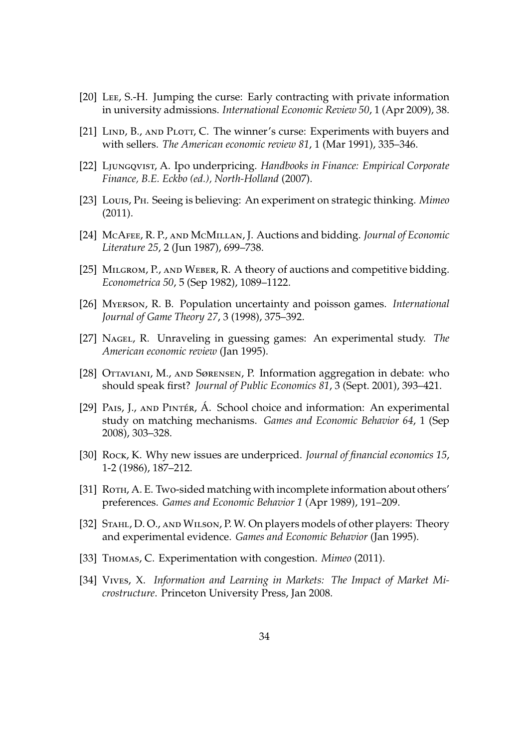- <span id="page-33-3"></span>[20] Lee, S.-H. Jumping the curse: Early contracting with private information in university admissions. *International Economic Review 50*, 1 (Apr 2009), 38.
- <span id="page-33-10"></span>[21] LIND, B., AND PLOTT, C. The winner's curse: Experiments with buyers and with sellers. *The American economic review 81*, 1 (Mar 1991), 335–346.
- <span id="page-33-1"></span>[22] Ljungqvist, A. Ipo underpricing. *Handbooks in Finance: Empirical Corporate Finance, B.E. Eckbo (ed.), North-Holland* (2007).
- <span id="page-33-11"></span>[23] Louis, Ph. Seeing is believing: An experiment on strategic thinking. *Mimeo* (2011).
- <span id="page-33-7"></span>[24] McAfee, R. P., and McMillan, J. Auctions and bidding. *Journal of Economic Literature 25*, 2 (Jun 1987), 699–738.
- <span id="page-33-6"></span>[25] Milgrom, P., and Weber, R. A theory of auctions and competitive bidding. *Econometrica 50*, 5 (Sep 1982), 1089–1122.
- <span id="page-33-14"></span>[26] Myerson, R. B. Population uncertainty and poisson games. *International Journal of Game Theory 27*, 3 (1998), 375–392.
- <span id="page-33-13"></span>[27] Nagel, R. Unraveling in guessing games: An experimental study. *The American economic review* (Jan 1995).
- <span id="page-33-8"></span>[28] OTTAVIANI, M., AND SØRENSEN, P. Information aggregation in debate: who should speak first? *Journal of Public Economics 81*, 3 (Sept. 2001), 393–421.
- <span id="page-33-5"></span>[29] Pais, J., and Pinter, A. School choice and information: An experimental study on matching mechanisms. *Games and Economic Behavior 64*, 1 (Sep 2008), 303–328.
- <span id="page-33-0"></span>[30] Rock, K. Why new issues are underpriced. *Journal of financial economics 15*, 1-2 (1986), 187–212.
- <span id="page-33-4"></span>[31] Rorn, A. E. Two-sided matching with incomplete information about others' preferences. *Games and Economic Behavior 1* (Apr 1989), 191–209.
- <span id="page-33-12"></span>[32] Stahl, D. O., and Wilson, P. W. On players models of other players: Theory and experimental evidence. *Games and Economic Behavior* (Jan 1995).
- <span id="page-33-2"></span>[33] Thomas, C. Experimentation with congestion. *Mimeo* (2011).
- <span id="page-33-9"></span>[34] Vives, X. Information and Learning in Markets: The Impact of Market Mi*crostructure*. Princeton University Press, Jan 2008.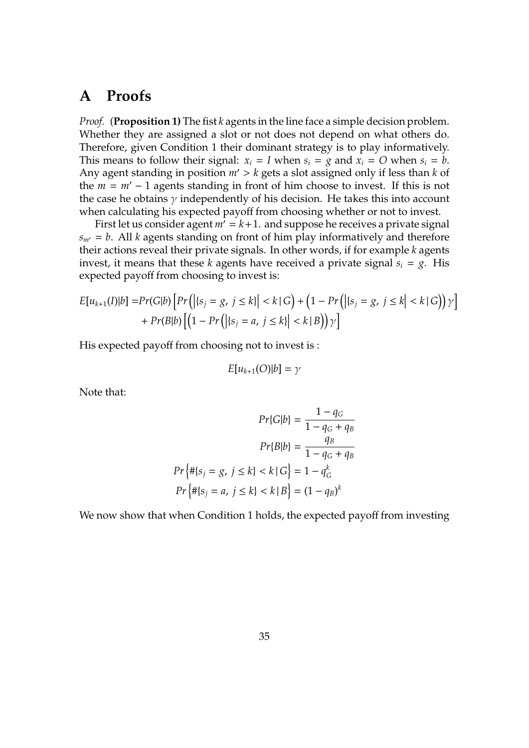## **A Proofs**

*Proof.* (**Proposition 1)** The fist *k* agents in the line face a simple decision problem. Whether they are assigned a slot or not does not depend on what others do. Therefore, given Condition [1](#page-9-0) their dominant strategy is to play informatively. This means to follow their signal:  $x_i = I$  when  $s_i = g$  and  $x_i = O$  when  $s_i = b$ . Any agent standing in position  $m' > k$  gets a slot assigned only if less than  $k$  of the  $m = m' - 1$  agents standing in front of him choose to invest. If this is not the case he obtains  $\gamma$  independently of his decision. He takes this into account when calculating his expected payoff from choosing whether or not to invest.

First let us consider agent  $m' = k+1$ . and suppose he receives a private signal  $s_{m'} = b$ . All *k* agents standing on front of him play informatively and therefore their actions reveal their private signals. In other words, if for example *k* agents invest, it means that these *k* agents have received a private signal  $s_i = g$ . His expected payoff from choosing to invest is:

$$
E[u_{k+1}(I)|b] = Pr(G|b) \left[ Pr(|s_j = g, j \le k| < k | G) + (1 - Pr(|s_j = g, j \le k| < k | G)) \gamma \right] + Pr(B|b) \left[ (1 - Pr(|s_j = a, j \le k| < k | B)) \gamma \right]
$$

His expected payoff from choosing not to invest is :

$$
E[u_{k+1}(O)|b] = \gamma
$$

Note that:

$$
Pr{G|b} = \frac{1 - q_G}{1 - q_G + q_B}
$$

$$
Pr{B|b} = \frac{q_B}{1 - q_G + q_B}
$$

$$
Pr{\#{s_j = g, j \le k} < k | G} = 1 - q_G^k
$$

$$
Pr{\#{s_j = a, j \le k} < k | B} = (1 - q_B)^k
$$

We now show that when Condition [1](#page-9-0) holds, the expected payoff from investing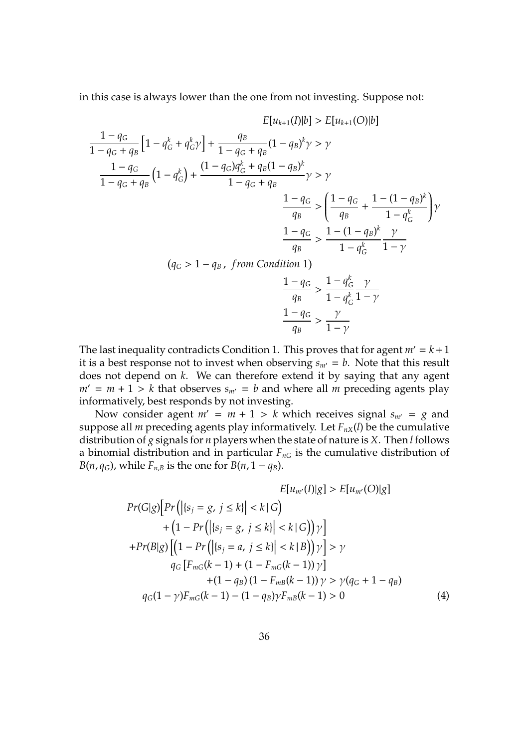in this case is always lower than the one from not investing. Suppose not:

$$
E[u_{k+1}(I)|b] > E[u_{k+1}(O)|b]
$$
  
\n
$$
\frac{1 - q_G}{1 - q_G + q_B} [1 - q_G^k + q_G^k \gamma] + \frac{q_B}{1 - q_G + q_B} (1 - q_B)^k \gamma > \gamma
$$
  
\n
$$
\frac{1 - q_G}{1 - q_G + q_B} (1 - q_G^k) + \frac{(1 - q_G)q_G^k + q_B(1 - q_B)^k}{1 - q_G + q_B} \gamma > \gamma
$$
  
\n
$$
\frac{1 - q_G}{q_B} > \left(\frac{1 - q_G}{q_B} + \frac{1 - (1 - q_B)^k}{1 - q_G^k}\right) \gamma
$$
  
\n
$$
\frac{1 - q_G}{q_B} > \frac{1 - (1 - q_B)^k}{1 - q_G^k} \frac{\gamma}{1 - \gamma}
$$
  
\n
$$
(q_G > 1 - q_B, \text{ from Condition 1)}
$$
  
\n
$$
\frac{1 - q_G}{q_B} > \frac{1 - q_G^k}{1 - q_G^k} \frac{\gamma}{1 - \gamma}
$$
  
\n
$$
\frac{1 - q_G}{q_B} > \frac{\gamma}{1 - \gamma}
$$

The last inequality contradicts Condition [1.](#page-9-0) This proves that for agent  $m' = k + 1$ it is a best response not to invest when observing  $s_{m'} = b$ . Note that this result does not depend on *k*. We can therefore extend it by saying that any agent  $m' = m + 1 > k$  that observes  $s_{m'} = b$  and where all *m* preceding agents play informatively, best responds by not investing.

Now consider agent  $m' = m + 1 > k$  which receives signal  $s_{m'} = g$  and suppose all *m* preceding agents play informatively. Let  $F_{nX}(l)$  be the cumulative distribution of *g* signals for *n* players when the state of nature is *X*. Then *l* follows a binomial distribution and in particular  $F_{nG}$  is the cumulative distribution of *B*( $n$ ,  $q_G$ ), while  $F_{n,B}$  is the one for  $B(n, 1 - q_B)$ .

<span id="page-35-0"></span>
$$
E[u_{m'}(I)|g] > E[u_{m'}(O)|g]
$$
  
\n
$$
Pr(G|g)[Pr(|{s_j = g, j \le k}| < k | G)
$$
  
\n
$$
+ (1 - Pr(|{s_j = g, j \le k}| < k | G)) \gamma]
$$
  
\n
$$
+ Pr(B|g)[(1 - Pr(|{s_j = a, j \le k}| < k | B)) \gamma] > \gamma
$$
  
\n
$$
q_G[F_{mG}(k - 1) + (1 - F_{mG}(k - 1)) \gamma]
$$
  
\n
$$
+ (1 - q_B)(1 - F_{mB}(k - 1)) \gamma > \gamma (q_G + 1 - q_B)
$$
  
\n
$$
q_G(1 - \gamma)F_{mG}(k - 1) - (1 - q_B) \gamma F_{mB}(k - 1) > 0
$$
\n(4)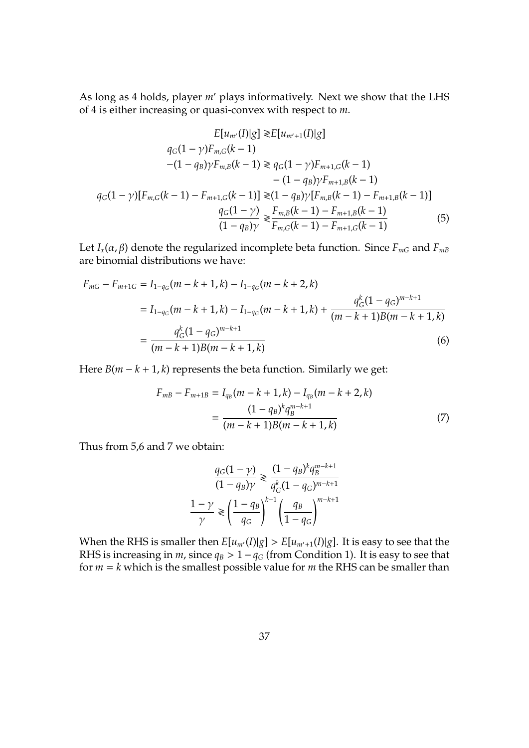As long as [4](#page-35-0) holds, player *m'* plays informatively. Next we show that the LHS of [4](#page-35-0) is either increasing or quasi-convex with respect to *m*.

$$
E[u_{m'}(I)|g] \ge E[u_{m'+1}(I)|g]
$$
  
\n
$$
q_G(1 - \gamma)F_{m,G}(k - 1)
$$
  
\n
$$
-(1 - q_B)\gamma F_{m,B}(k - 1) \ge q_G(1 - \gamma)F_{m+1,G}(k - 1)
$$
  
\n
$$
-(1 - q_B)\gamma F_{m+1,B}(k - 1)
$$
  
\n
$$
q_G(1 - \gamma)[F_{m,G}(k - 1) - F_{m+1,G}(k - 1)] \ge (1 - q_B)\gamma [F_{m,B}(k - 1) - F_{m+1,B}(k - 1)]
$$
  
\n
$$
\frac{q_G(1 - \gamma)}{(1 - q_B)\gamma} \ge \frac{F_{m,B}(k - 1) - F_{m+1,B}(k - 1)}{F_{m,G}(k - 1) - F_{m+1,G}(k - 1)}
$$
(5)

Let  $I_x(\alpha, \beta)$  denote the regularized incomplete beta function. Since  $F_{mG}$  and  $F_{mB}$ are binomial distributions we have:

$$
F_{mG} - F_{m+1G} = I_{1-q_G}(m-k+1,k) - I_{1-q_G}(m-k+2,k)
$$
  
= 
$$
I_{1-q_G}(m-k+1,k) - I_{1-q_G}(m-k+1,k) + \frac{q_G^k(1-q_G)^{m-k+1}}{(m-k+1)B(m-k+1,k)}
$$
  
= 
$$
\frac{q_G^k(1-q_G)^{m-k+1}}{(m-k+1)B(m-k+1,k)}
$$
 (6)

Here  $B(m - k + 1, k)$  represents the beta function. Similarly we get:

<span id="page-36-0"></span>
$$
F_{mB} - F_{m+1B} = I_{q_B}(m - k + 1, k) - I_{q_B}(m - k + 2, k)
$$
  
= 
$$
\frac{(1 - q_B)^k q_B^{m-k+1}}{(m - k + 1)B(m - k + 1, k)}
$$
 (7)

Thus from [5](#page-36-0)[,6](#page-36-1) and [7](#page-36-2) we obtain:

<span id="page-36-2"></span><span id="page-36-1"></span>
$$
\frac{q_G(1-\gamma)}{(1-q_B)\gamma} \ge \frac{(1-q_B)^k q_B^{m-k+1}}{q_G^k (1-q_G)^{m-k+1}}
$$

$$
\frac{1-\gamma}{\gamma} \ge \left(\frac{1-q_B}{q_G}\right)^{k-1} \left(\frac{q_B}{1-q_G}\right)^{m-k+1}
$$

When the RHS is smaller then  $E[u_{m'}(I)|g] > E[u_{m'+1}(I)|g]$ . It is easy to see that the RHS is increasing in *m*, since  $q_B$  > 1 −  $q_G$  (from Condition [1\)](#page-9-0). It is easy to see that for  $m = k$  which is the smallest possible value for  $m$  the RHS can be smaller than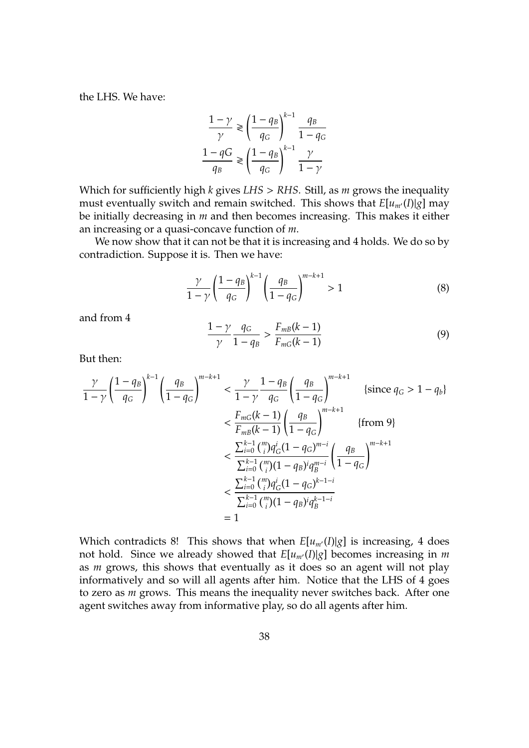the LHS. We have:

$$
\frac{1-\gamma}{\gamma} \ge \left(\frac{1-q_B}{q_G}\right)^{k-1} \frac{q_B}{1-q_G}
$$

$$
\frac{1-qG}{q_B} \ge \left(\frac{1-q_B}{q_G}\right)^{k-1} \frac{\gamma}{1-\gamma}
$$

Which for sufficiently high *k* gives *LHS* > *RHS*. Still, as *m* grows the inequality must eventually switch and remain switched. This shows that  $E[u_{m'}(I)|g]$  may be initially decreasing in *m* and then becomes increasing. This makes it either an increasing or a quasi-concave function of *m*.

We now show that it can not be that it is increasing and [4](#page-35-0) holds. We do so by contradiction. Suppose it is. Then we have:

<span id="page-37-1"></span>
$$
\frac{\gamma}{1-\gamma} \left(\frac{1-q_B}{q_G}\right)^{k-1} \left(\frac{q_B}{1-q_G}\right)^{m-k+1} > 1\tag{8}
$$

and from [4](#page-35-0)

<span id="page-37-0"></span>
$$
\frac{1-\gamma}{\gamma} \frac{q_G}{1-q_B} > \frac{F_{m}(k-1)}{F_{m}(k-1)}
$$
(9)

But then:

$$
\frac{\gamma}{1-\gamma} \left( \frac{1-q_B}{q_G} \right)^{k-1} \left( \frac{q_B}{1-q_G} \right)^{m-k+1} < \frac{\gamma}{1-\gamma} \frac{1-q_B}{q_G} \left( \frac{q_B}{1-q_G} \right)^{m-k+1} \quad \text{[since } q_G > 1-q_b\text{]}
$$
\n
$$
\leq \frac{F_{mG}(k-1)}{F_{mB}(k-1)} \left( \frac{q_B}{1-q_G} \right)^{m-k+1} \quad \text{[from 9]}
$$
\n
$$
\leq \frac{\sum_{i=0}^{k-1} \binom{m}{i} q_i^i (1-q_G)^{m-i}}{\sum_{i=0}^{k-1} \binom{m}{i} (1-q_B)^i q_B^{m-i}} \left( \frac{q_B}{1-q_G} \right)^{m-k+1}
$$
\n
$$
\leq \frac{\sum_{i=0}^{k-1} \binom{m}{i} q_i^i (1-q_G)^{k-1-i}}{\sum_{i=0}^{k-1} \binom{m}{i} (1-q_B)^i q_B^{k-1-i}}
$$
\n
$$
= 1
$$

Which contradicts [8!](#page-37-1) This shows that when  $E[u_{m'}(I)|g]$  is increasing, [4](#page-35-0) does not hold. Since we already showed that  $E[u_{m'}(I)|g]$  becomes increasing in *m* as *m* grows, this shows that eventually as it does so an agent will not play informatively and so will all agents after him. Notice that the LHS of [4](#page-35-0) goes to zero as *m* grows. This means the inequality never switches back. After one agent switches away from informative play, so do all agents after him.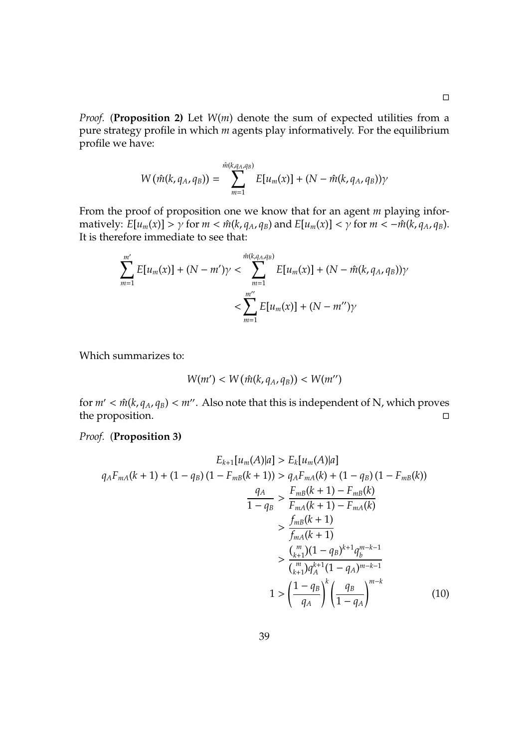*Proof.* (**Proposition 2)** Let *W*(*m*) denote the sum of expected utilities from a pure strategy profile in which *m* agents play informatively. For the equilibrium profile we have:

$$
W\left(\hat{m}(k,q_A,q_B)\right)=\sum_{m=1}^{\hat{m}(k,q_A,q_B)}E[u_m(x)]+(N-\hat{m}(k,q_A,q_B))\gamma
$$

From the proof of proposition one we know that for an agent *m* playing informatively:  $E[u_m(x)] > \gamma$  for  $m < \hat{m}(k, q_A, q_B)$  and  $E[u_m(x)] < \gamma$  for  $m < -\hat{m}(k, q_A, q_B)$ . It is therefore immediate to see that:

$$
\sum_{m=1}^{m'} E[u_m(x)] + (N - m')\gamma < \sum_{m=1}^{\hat{m}(k,q_A,q_B)} E[u_m(x)] + (N - \hat{m}(k,q_A,q_B))\gamma < \sum_{m=1}^{m'} E[u_m(x)] + (N - m')\gamma
$$

Which summarizes to:

<span id="page-38-0"></span>
$$
W(m') < W(\hat{m}(k,q_A,q_B)) < W(m'')
$$

for  $m' < \hat{m}(k, q_A, q_B) < m''$ . Also note that this is independent of N, which proves the proposition.

#### *Proof.* (**Proposition 3)**

$$
E_{k+1}[u_m(A)|a] > E_k[u_m(A)|a]
$$
  
\n
$$
q_A F_{mA}(k+1) + (1 - q_B)(1 - F_{mB}(k+1)) > q_A F_{mA}(k) + (1 - q_B)(1 - F_{mB}(k))
$$
  
\n
$$
\frac{q_A}{1 - q_B} > \frac{F_{mB}(k+1) - F_{mB}(k)}{F_{mA}(k+1) - F_{mA}(k)}
$$
  
\n
$$
> \frac{f_{mB}(k+1)}{f_{mA}(k+1)}
$$
  
\n
$$
> \frac{\binom{m}{k+1}(1 - q_B)^{k+1}q_b^{m-k-1}}{\binom{m}{k+1}q_A^{k+1}(1 - q_A)^{m-k-1}}
$$
  
\n
$$
1 > \left(\frac{1 - q_B}{q_A}\right)^k \left(\frac{q_B}{1 - q_A}\right)^{m-k}
$$
(10)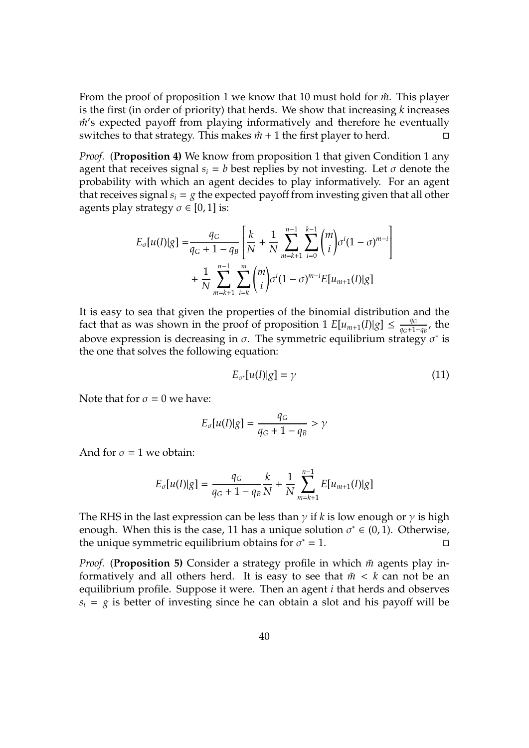From the proof of proposition 1 we know that [10](#page-38-0) must hold for  $\hat{m}$ . This player is the first (in order of priority) that herds. We show that increasing *k* increases *m*'s expected payoff from playing informatively and therefore he eventually switches to that strategy. This makes  $m + 1$  the first player to herd.  $□$ 

*Proof.* (**Proposition 4)** We know from proposition 1 that given Condition [1](#page-9-0) any agent that receives signal  $s_i = b$  best replies by not investing. Let  $\sigma$  denote the probability with which an agent decides to play informatively. For an agent that receives signal  $s_i = g$  the expected payoff from investing given that all other agents play strategy  $\sigma \in [0, 1]$  is:

$$
E_{\sigma}[u(I)|g] = \frac{q_G}{q_G + 1 - q_B} \left[ \frac{k}{N} + \frac{1}{N} \sum_{m=k+1}^{n-1} \sum_{i=0}^{k-1} {m \choose i} \sigma^i (1 - \sigma)^{m-i} \right] + \frac{1}{N} \sum_{m=k+1}^{n-1} \sum_{i=k}^m {m \choose i} \sigma^i (1 - \sigma)^{m-i} E[u_{m+1}(I)|g]
$$

It is easy to sea that given the properties of the binomial distribution and the fact that as was shown in the proof of proposition  $1 E[u_{m+1}(I)|g] \leq \frac{qG}{q-1}$  $\frac{q_G}{q_G+1-q_B}$ , the above expression is decreasing in  $\sigma$ . The symmetric equilibrium strategy  $\sigma^*$  is the one that solves the following equation:

<span id="page-39-0"></span>
$$
E_{\sigma^*}[u(I)|g] = \gamma \tag{11}
$$

Note that for  $\sigma = 0$  we have:

$$
E_{\sigma}[u(I)|g] = \frac{q_G}{q_G + 1 - q_B} > \gamma
$$

And for  $\sigma = 1$  we obtain:

$$
E_{\sigma}[u(I)|g] = \frac{q_G}{q_G + 1 - q_B} \frac{k}{N} + \frac{1}{N} \sum_{m=k+1}^{n-1} E[u_{m+1}(I)|g]
$$

The RHS in the last expression can be less than  $\gamma$  if *k* is low enough or  $\gamma$  is high enough. When this is the case, [11](#page-39-0) has a unique solution  $\sigma^* \in (0, 1)$ . Otherwise, the unique symmetric equilibrium obtains for  $\sigma^* = 1$ .

*Proof.* (**Proposition 5**) Consider a strategy profile in which  $\tilde{m}$  agents play informatively and all others herd. It is easy to see that  $\tilde{m} < k$  can not be an equilibrium profile. Suppose it were. Then an agent *i* that herds and observes  $s_i = g$  is better of investing since he can obtain a slot and his payoff will be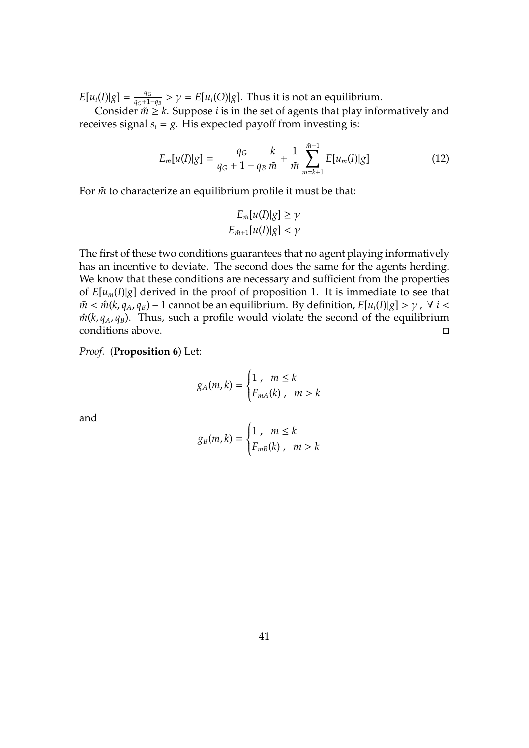$E[u_i(I)|g] = \frac{q_G}{q_G+1}$  $\frac{q_G}{q_G+1-q_B} > \gamma = E[u_i(O)|g]$ . Thus it is not an equilibrium.

Consider  $\tilde{m} \geq k$ . Suppose *i* is in the set of agents that play informatively and receives signal  $s_i = g$ . His expected payoff from investing is:

$$
E_{\tilde{m}}[u(I)|g] = \frac{q_G}{q_G + 1 - q_B} \frac{k}{\tilde{m}} + \frac{1}{\tilde{m}} \sum_{m=k+1}^{\tilde{m}-1} E[u_m(I)|g] \tag{12}
$$

For  $m$ <sup>to</sup> characterize an equilibrium profile it must be that:

$$
E_{\tilde{m}}[u(I)|g] \ge \gamma
$$
  

$$
E_{\tilde{m}+1}[u(I)|g] < \gamma
$$

The first of these two conditions guarantees that no agent playing informatively has an incentive to deviate. The second does the same for the agents herding. We know that these conditions are necessary and sufficient from the properties of  $E[u_m(I) | g]$  derived in the proof of proposition 1. It is immediate to see that  $\tilde{m} < \hat{m}(k, q_A, q_B) - 1$  cannot be an equilibrium. By definition,  $E[u_i(I)|g] > \gamma$ ,  $\forall i <$  $\hat{m}(k, q_A, q_B)$ . Thus, such a profile would violate the second of the equilibrium conditions above.

*Proof.* (**Proposition [6](#page-25-0)**) Let:

$$
g_A(m,k) = \begin{cases} 1, & m \le k \\ F_{mA}(k), & m > k \end{cases}
$$

and

$$
g_B(m,k) = \begin{cases} 1, & m \leq k \\ F_{mB}(k), & m > k \end{cases}
$$